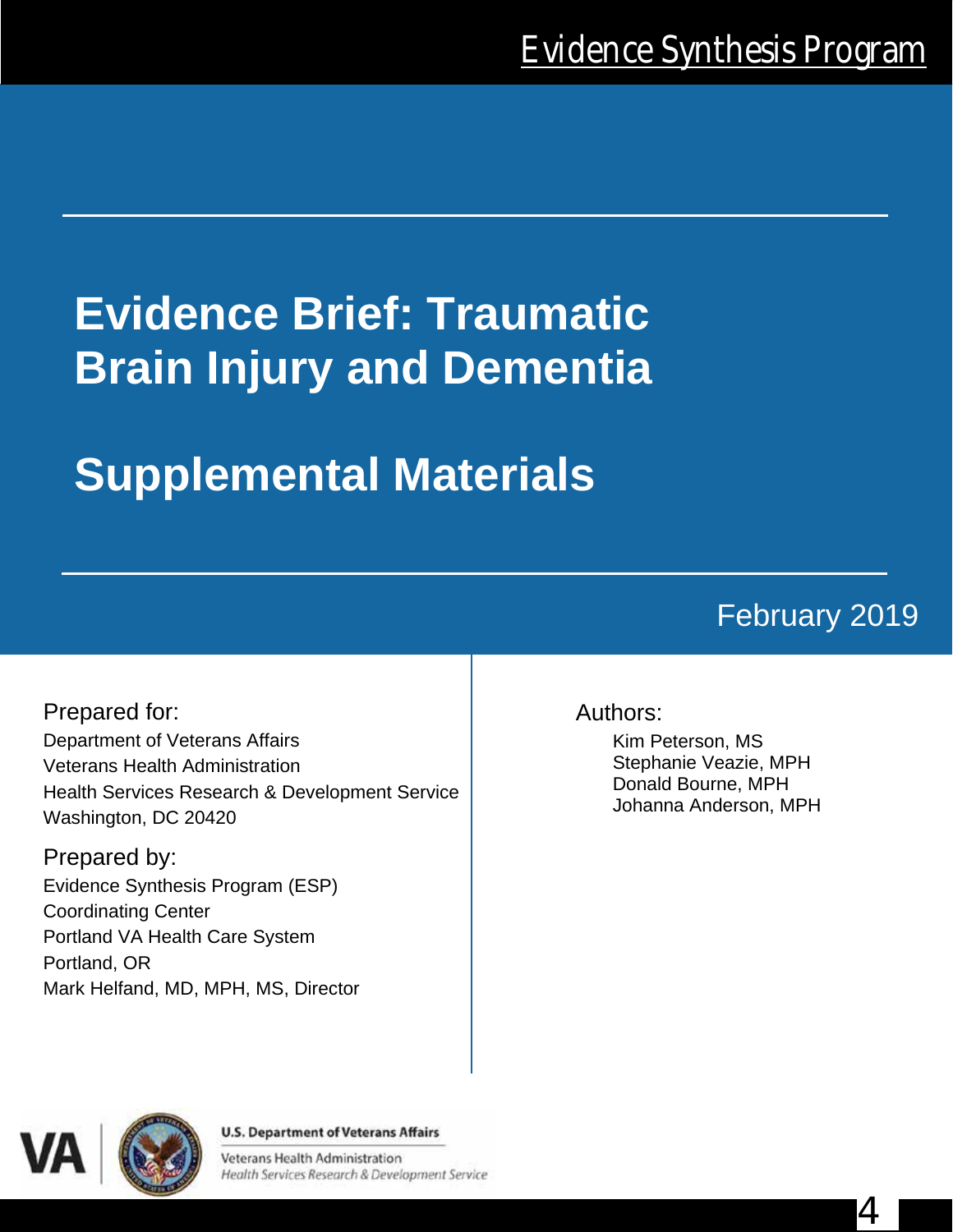# **Evidence Brief: Traumatic Brain Injury and Dementia**

# **Supplemental Materials**

# February 2019

4

Prepared for: Department of Veterans Affairs Veterans Health Administration Health Services Research & Development Service Washington, DC 20420

Prepared by: Evidence Synthesis Program (ESP) Coordinating Center Portland VA Health Care System Portland, OR Mark Helfand, MD, MPH, MS, Director

#### Authors:

Kim Peterson, MS Stephanie Veazie, MPH Donald Bourne, MPH Johanna Anderson, MPH



4

#### **U.S. Department of Veterans Affairs**

Veterans Health Administration Health Services Research & Development Service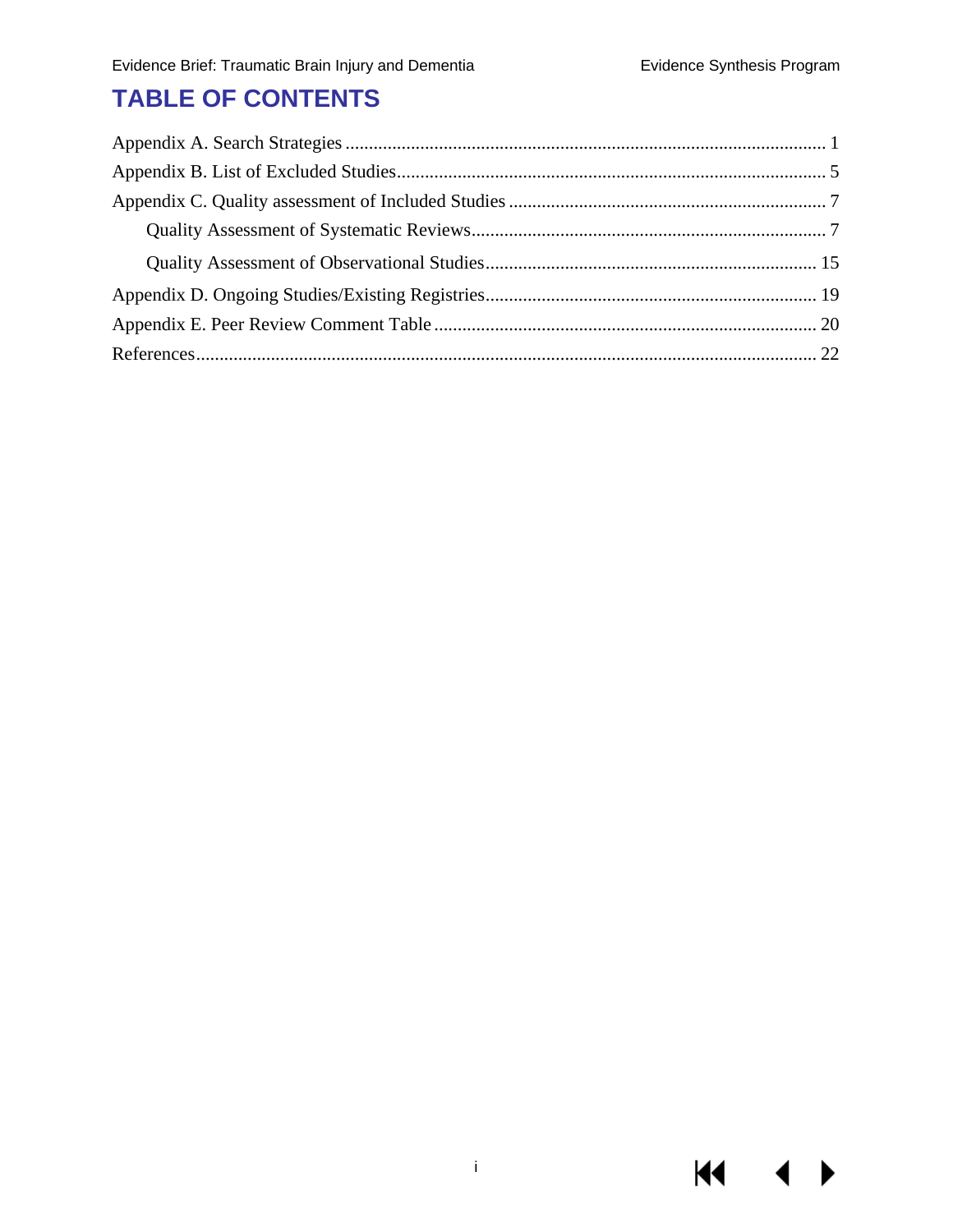**KK** 

 $\blacktriangleright$ 

## **TABLE OF CONTENTS**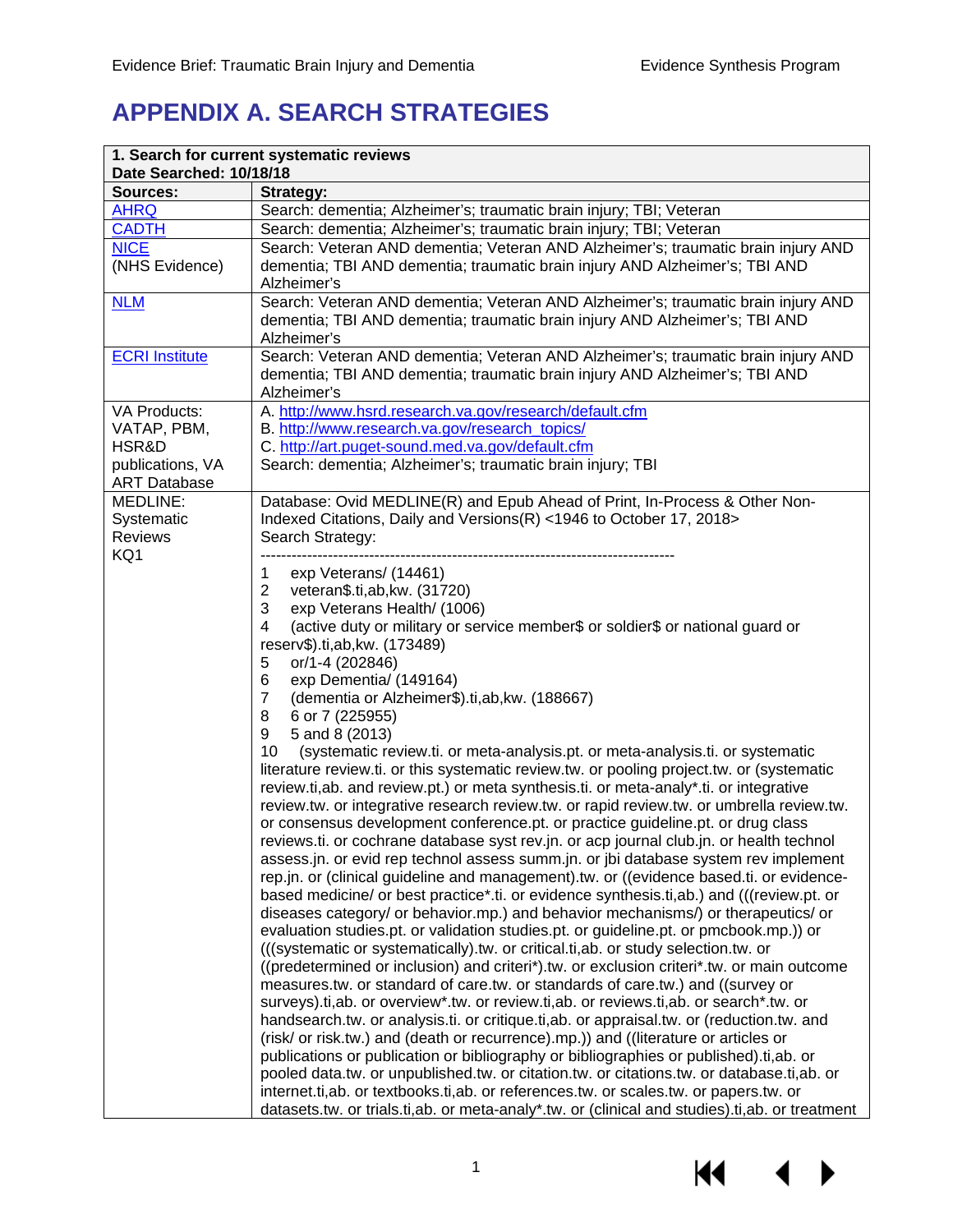## <span id="page-2-0"></span>**APPENDIX A. SEARCH STRATEGIES**

| Date Searched: 10/18/18                         | 1. Search for current systematic reviews                                                                                                                                                                                                                                                                                                                                                                                                                                                                                                                                                                                                                                                                                                                                                                                                                                                                                                                                                                                                                                                                                                                                                                                                                                                                                                                                                                                                                                                                                                                                                                                                                                                                                                                                                                                                                                                                                                                                                                                                                                                                                                                                                                                                                           |
|-------------------------------------------------|--------------------------------------------------------------------------------------------------------------------------------------------------------------------------------------------------------------------------------------------------------------------------------------------------------------------------------------------------------------------------------------------------------------------------------------------------------------------------------------------------------------------------------------------------------------------------------------------------------------------------------------------------------------------------------------------------------------------------------------------------------------------------------------------------------------------------------------------------------------------------------------------------------------------------------------------------------------------------------------------------------------------------------------------------------------------------------------------------------------------------------------------------------------------------------------------------------------------------------------------------------------------------------------------------------------------------------------------------------------------------------------------------------------------------------------------------------------------------------------------------------------------------------------------------------------------------------------------------------------------------------------------------------------------------------------------------------------------------------------------------------------------------------------------------------------------------------------------------------------------------------------------------------------------------------------------------------------------------------------------------------------------------------------------------------------------------------------------------------------------------------------------------------------------------------------------------------------------------------------------------------------------|
| <b>Sources:</b>                                 | <b>Strategy:</b>                                                                                                                                                                                                                                                                                                                                                                                                                                                                                                                                                                                                                                                                                                                                                                                                                                                                                                                                                                                                                                                                                                                                                                                                                                                                                                                                                                                                                                                                                                                                                                                                                                                                                                                                                                                                                                                                                                                                                                                                                                                                                                                                                                                                                                                   |
| <b>AHRQ</b>                                     | Search: dementia; Alzheimer's; traumatic brain injury; TBI; Veteran                                                                                                                                                                                                                                                                                                                                                                                                                                                                                                                                                                                                                                                                                                                                                                                                                                                                                                                                                                                                                                                                                                                                                                                                                                                                                                                                                                                                                                                                                                                                                                                                                                                                                                                                                                                                                                                                                                                                                                                                                                                                                                                                                                                                |
| <b>CADTH</b>                                    | Search: dementia; Alzheimer's; traumatic brain injury; TBI; Veteran                                                                                                                                                                                                                                                                                                                                                                                                                                                                                                                                                                                                                                                                                                                                                                                                                                                                                                                                                                                                                                                                                                                                                                                                                                                                                                                                                                                                                                                                                                                                                                                                                                                                                                                                                                                                                                                                                                                                                                                                                                                                                                                                                                                                |
| <b>NICE</b>                                     | Search: Veteran AND dementia; Veteran AND Alzheimer's; traumatic brain injury AND                                                                                                                                                                                                                                                                                                                                                                                                                                                                                                                                                                                                                                                                                                                                                                                                                                                                                                                                                                                                                                                                                                                                                                                                                                                                                                                                                                                                                                                                                                                                                                                                                                                                                                                                                                                                                                                                                                                                                                                                                                                                                                                                                                                  |
| (NHS Evidence)                                  | dementia; TBI AND dementia; traumatic brain injury AND Alzheimer's; TBI AND<br>Alzheimer's                                                                                                                                                                                                                                                                                                                                                                                                                                                                                                                                                                                                                                                                                                                                                                                                                                                                                                                                                                                                                                                                                                                                                                                                                                                                                                                                                                                                                                                                                                                                                                                                                                                                                                                                                                                                                                                                                                                                                                                                                                                                                                                                                                         |
| <b>NLM</b>                                      | Search: Veteran AND dementia; Veteran AND Alzheimer's; traumatic brain injury AND<br>dementia; TBI AND dementia; traumatic brain injury AND Alzheimer's; TBI AND<br>Alzheimer's                                                                                                                                                                                                                                                                                                                                                                                                                                                                                                                                                                                                                                                                                                                                                                                                                                                                                                                                                                                                                                                                                                                                                                                                                                                                                                                                                                                                                                                                                                                                                                                                                                                                                                                                                                                                                                                                                                                                                                                                                                                                                    |
| <b>ECRI Institute</b>                           | Search: Veteran AND dementia; Veteran AND Alzheimer's; traumatic brain injury AND<br>dementia; TBI AND dementia; traumatic brain injury AND Alzheimer's; TBI AND<br>Alzheimer's                                                                                                                                                                                                                                                                                                                                                                                                                                                                                                                                                                                                                                                                                                                                                                                                                                                                                                                                                                                                                                                                                                                                                                                                                                                                                                                                                                                                                                                                                                                                                                                                                                                                                                                                                                                                                                                                                                                                                                                                                                                                                    |
| VA Products:                                    | A. http://www.hsrd.research.va.gov/research/default.cfm                                                                                                                                                                                                                                                                                                                                                                                                                                                                                                                                                                                                                                                                                                                                                                                                                                                                                                                                                                                                                                                                                                                                                                                                                                                                                                                                                                                                                                                                                                                                                                                                                                                                                                                                                                                                                                                                                                                                                                                                                                                                                                                                                                                                            |
| VATAP, PBM,                                     | B. http://www.research.va.gov/research_topics/                                                                                                                                                                                                                                                                                                                                                                                                                                                                                                                                                                                                                                                                                                                                                                                                                                                                                                                                                                                                                                                                                                                                                                                                                                                                                                                                                                                                                                                                                                                                                                                                                                                                                                                                                                                                                                                                                                                                                                                                                                                                                                                                                                                                                     |
| HSR&D                                           | C. http://art.puget-sound.med.va.gov/default.cfm                                                                                                                                                                                                                                                                                                                                                                                                                                                                                                                                                                                                                                                                                                                                                                                                                                                                                                                                                                                                                                                                                                                                                                                                                                                                                                                                                                                                                                                                                                                                                                                                                                                                                                                                                                                                                                                                                                                                                                                                                                                                                                                                                                                                                   |
| publications, VA                                | Search: dementia; Alzheimer's; traumatic brain injury; TBI                                                                                                                                                                                                                                                                                                                                                                                                                                                                                                                                                                                                                                                                                                                                                                                                                                                                                                                                                                                                                                                                                                                                                                                                                                                                                                                                                                                                                                                                                                                                                                                                                                                                                                                                                                                                                                                                                                                                                                                                                                                                                                                                                                                                         |
| <b>ART Database</b>                             |                                                                                                                                                                                                                                                                                                                                                                                                                                                                                                                                                                                                                                                                                                                                                                                                                                                                                                                                                                                                                                                                                                                                                                                                                                                                                                                                                                                                                                                                                                                                                                                                                                                                                                                                                                                                                                                                                                                                                                                                                                                                                                                                                                                                                                                                    |
| MEDLINE:<br>Systematic<br><b>Reviews</b><br>KQ1 | Database: Ovid MEDLINE(R) and Epub Ahead of Print, In-Process & Other Non-<br>Indexed Citations, Daily and Versions(R) <1946 to October 17, 2018><br>Search Strategy:                                                                                                                                                                                                                                                                                                                                                                                                                                                                                                                                                                                                                                                                                                                                                                                                                                                                                                                                                                                                                                                                                                                                                                                                                                                                                                                                                                                                                                                                                                                                                                                                                                                                                                                                                                                                                                                                                                                                                                                                                                                                                              |
|                                                 | exp Veterans/ (14461)<br>1<br>$\overline{2}$<br>veteran\$.ti,ab,kw. (31720)<br>3<br>exp Veterans Health/ (1006)<br>(active duty or military or service member\$ or soldier\$ or national guard or<br>4<br>reserv\$).ti,ab,kw. (173489)<br>or/1-4 (202846)<br>5<br>6<br>exp Dementia/ (149164)<br>(dementia or Alzheimer\$).ti,ab, kw. (188667)<br>$\overline{7}$<br>8<br>6 or 7 (225955)<br>9<br>5 and 8 (2013)<br>10<br>(systematic review.ti. or meta-analysis.pt. or meta-analysis.ti. or systematic<br>literature review.ti. or this systematic review.tw. or pooling project.tw. or (systematic<br>review.ti,ab. and review.pt.) or meta synthesis.ti. or meta-analy*.ti. or integrative<br>review.tw. or integrative research review.tw. or rapid review.tw. or umbrella review.tw.<br>or consensus development conference.pt. or practice guideline.pt. or drug class<br>reviews.ti. or cochrane database syst rev.jn. or acp journal club.jn. or health technol<br>assess.jn. or evid rep technol assess summ.jn. or jbi database system rev implement<br>rep.jn. or (clinical guideline and management).tw. or ((evidence based.ti. or evidence-<br>based medicine/ or best practice*.ti. or evidence synthesis.ti,ab.) and (((review.pt. or<br>diseases category/ or behavior.mp.) and behavior mechanisms/) or therapeutics/ or<br>evaluation studies.pt. or validation studies.pt. or guideline.pt. or pmcbook.mp.)) or<br>(((systematic or systematically).tw. or critical.ti, ab. or study selection.tw. or<br>((predetermined or inclusion) and criteri*).tw. or exclusion criteri*.tw. or main outcome<br>measures.tw. or standard of care.tw. or standards of care.tw.) and ((survey or<br>surveys).ti,ab. or overview*.tw. or review.ti,ab. or reviews.ti,ab. or search*.tw. or<br>handsearch.tw. or analysis.ti. or critique.ti,ab. or appraisal.tw. or (reduction.tw. and<br>(risk/ or risk.tw.) and (death or recurrence).mp.)) and ((literature or articles or<br>publications or publication or bibliography or bibliographies or published).ti,ab. or<br>pooled data.tw. or unpublished.tw. or citation.tw. or citations.tw. or database.ti,ab. or<br>internet.ti,ab. or textbooks.ti,ab. or references.tw. or scales.tw. or papers.tw. or |

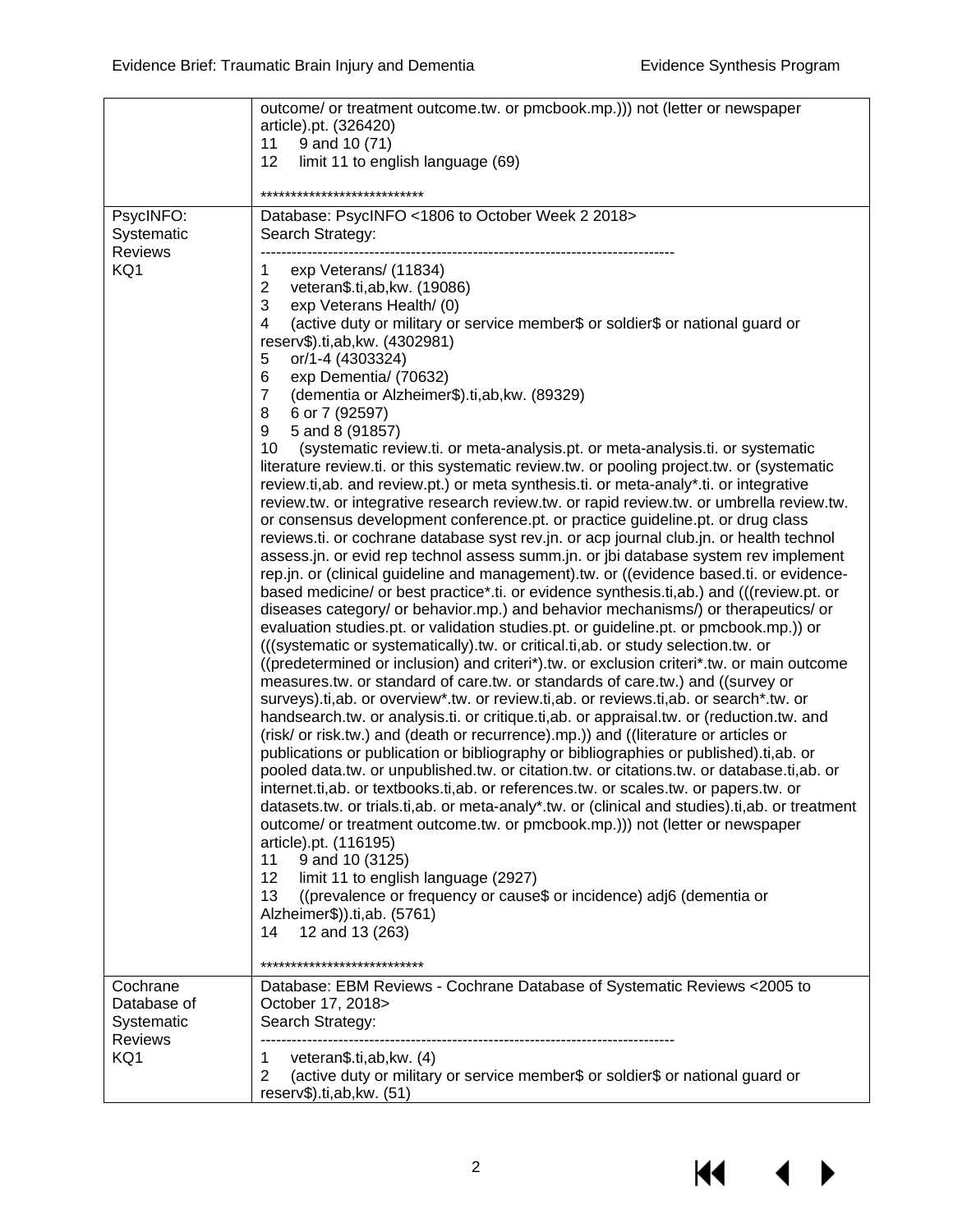|                           | outcome/ or treatment outcome.tw. or pmcbook.mp.))) not (letter or newspaper<br>article).pt. (326420)<br>11<br>9 and 10 (71)<br>12<br>limit 11 to english language (69)<br>**************************** |
|---------------------------|---------------------------------------------------------------------------------------------------------------------------------------------------------------------------------------------------------|
| PsycINFO:                 | Database: PsycINFO <1806 to October Week 2 2018>                                                                                                                                                        |
| Systematic                | Search Strategy:                                                                                                                                                                                        |
| <b>Reviews</b>            |                                                                                                                                                                                                         |
| KQ1                       | $\mathbf 1$<br>exp Veterans/ (11834)                                                                                                                                                                    |
|                           | $\overline{2}$<br>veteran\$.ti,ab,kw. (19086)<br>3<br>exp Veterans Health/ (0)                                                                                                                          |
|                           | (active duty or military or service member\$ or soldier\$ or national guard or<br>4                                                                                                                     |
|                           | reserv\$).ti,ab,kw. (4302981)                                                                                                                                                                           |
|                           | or/1-4 (4303324)<br>5                                                                                                                                                                                   |
|                           | 6<br>exp Dementia/ (70632)                                                                                                                                                                              |
|                           | $\overline{7}$<br>(dementia or Alzheimer\$).ti,ab, kw. (89329)                                                                                                                                          |
|                           | 8<br>6 or 7 (92597)<br>9<br>5 and 8 (91857)                                                                                                                                                             |
|                           | 10<br>(systematic review.ti. or meta-analysis.pt. or meta-analysis.ti. or systematic                                                                                                                    |
|                           | literature review.ti. or this systematic review.tw. or pooling project.tw. or (systematic                                                                                                               |
|                           | review.ti,ab. and review.pt.) or meta synthesis.ti. or meta-analy*.ti. or integrative                                                                                                                   |
|                           | review.tw. or integrative research review.tw. or rapid review.tw. or umbrella review.tw.                                                                                                                |
|                           | or consensus development conference.pt. or practice guideline.pt. or drug class<br>reviews.ti. or cochrane database syst rev.jn. or acp journal club.jn. or health technol                              |
|                           | assess.jn. or evid rep technol assess summ.jn. or jbi database system rev implement                                                                                                                     |
|                           | rep.jn. or (clinical guideline and management).tw. or ((evidence based.ti. or evidence-                                                                                                                 |
|                           | based medicine/ or best practice*.ti. or evidence synthesis.ti,ab.) and (((review.pt. or                                                                                                                |
|                           | diseases category/ or behavior.mp.) and behavior mechanisms/) or therapeutics/ or                                                                                                                       |
|                           | evaluation studies.pt. or validation studies.pt. or guideline.pt. or pmcbook.mp.)) or<br>(((systematic or systematically).tw. or critical.ti, ab. or study selection.tw. or                             |
|                           | ((predetermined or inclusion) and criteri*).tw. or exclusion criteri*.tw. or main outcome                                                                                                               |
|                           | measures.tw. or standard of care.tw. or standards of care.tw.) and ((survey or                                                                                                                          |
|                           | surveys).ti,ab. or overview*.tw. or review.ti,ab. or reviews.ti,ab. or search*.tw. or                                                                                                                   |
|                           | handsearch.tw. or analysis.ti. or critique.ti,ab. or appraisal.tw. or (reduction.tw. and                                                                                                                |
|                           | (risk/ or risk.tw.) and (death or recurrence).mp.)) and ((literature or articles or                                                                                                                     |
|                           | publications or publication or bibliography or bibliographies or published).ti,ab. or<br>pooled data.tw. or unpublished.tw. or citation.tw. or citations.tw. or database.ti,ab. or                      |
|                           | internet.ti,ab. or textbooks.ti,ab. or references.tw. or scales.tw. or papers.tw. or                                                                                                                    |
|                           | datasets.tw. or trials.ti,ab. or meta-analy*.tw. or (clinical and studies).ti,ab. or treatment                                                                                                          |
|                           | outcome/ or treatment outcome.tw. or pmcbook.mp.))) not (letter or newspaper                                                                                                                            |
|                           | article).pt. (116195)                                                                                                                                                                                   |
|                           | 9 and 10 (3125)<br>11                                                                                                                                                                                   |
|                           | 12<br>limit 11 to english language (2927)<br>13<br>((prevalence or frequency or cause\$ or incidence) adj6 (dementia or                                                                                 |
|                           | Alzheimer\$)).ti,ab. (5761)                                                                                                                                                                             |
|                           | 12 and 13 (263)<br>14                                                                                                                                                                                   |
|                           |                                                                                                                                                                                                         |
|                           | ****************************                                                                                                                                                                            |
| Cochrane                  | Database: EBM Reviews - Cochrane Database of Systematic Reviews <2005 to                                                                                                                                |
| Database of<br>Systematic | October 17, 2018><br>Search Strategy:                                                                                                                                                                   |
| <b>Reviews</b>            |                                                                                                                                                                                                         |
| KQ1                       | veteran\$.ti,ab,kw. (4)<br>1                                                                                                                                                                            |
|                           | (active duty or military or service member\$ or soldier\$ or national guard or<br>$\overline{2}$                                                                                                        |
|                           | reserv\$).ti,ab,kw. (51)                                                                                                                                                                                |

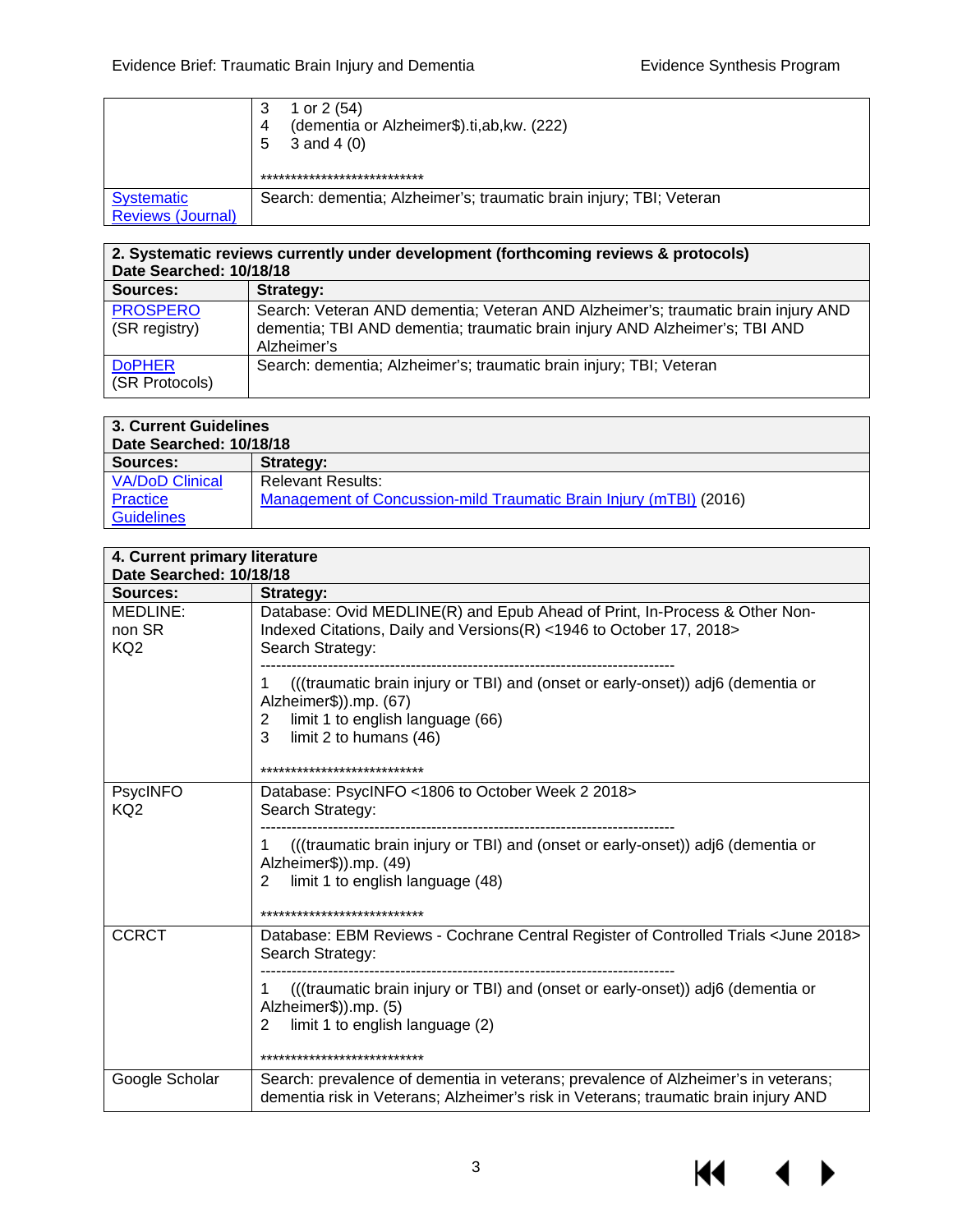|                                               | 1 or $2(54)$<br>(dementia or Alzheimer\$).ti,ab, kw. (222)<br>4<br>3 and 4 $(0)$<br>5<br>*************************** |
|-----------------------------------------------|----------------------------------------------------------------------------------------------------------------------|
| <b>Systematic</b><br><b>Reviews (Journal)</b> | Search: dementia; Alzheimer's; traumatic brain injury; TBI; Veteran                                                  |

| 2. Systematic reviews currently under development (forthcoming reviews & protocols)<br>Date Searched: 10/18/18 |                                                                                                                                                                                 |  |  |
|----------------------------------------------------------------------------------------------------------------|---------------------------------------------------------------------------------------------------------------------------------------------------------------------------------|--|--|
| Sources:                                                                                                       | Strategy:                                                                                                                                                                       |  |  |
| <b>PROSPERO</b><br>(SR registry)                                                                               | Search: Veteran AND dementia; Veteran AND Alzheimer's; traumatic brain injury AND<br>dementia; TBI AND dementia; traumatic brain injury AND Alzheimer's; TBI AND<br>Alzheimer's |  |  |
| <b>DoPHER</b><br>(SR Protocols)                                                                                | Search: dementia; Alzheimer's; traumatic brain injury; TBI; Veteran                                                                                                             |  |  |

| 3. Current Guidelines<br>Date Searched: 10/18/18 |                                                                    |  |  |  |
|--------------------------------------------------|--------------------------------------------------------------------|--|--|--|
| Sources:                                         | Strategy:                                                          |  |  |  |
| <b>VA/DoD Clinical</b>                           | <b>Relevant Results:</b>                                           |  |  |  |
| Practice                                         | Management of Concussion-mild Traumatic Brain Injury (mTBI) (2016) |  |  |  |
| <b>Guidelines</b>                                |                                                                    |  |  |  |

|                                       | 4. Current primary literature<br>Date Searched: 10/18/18                                                                                                                                                                       |  |  |  |  |  |
|---------------------------------------|--------------------------------------------------------------------------------------------------------------------------------------------------------------------------------------------------------------------------------|--|--|--|--|--|
| Sources:                              | <b>Strategy:</b>                                                                                                                                                                                                               |  |  |  |  |  |
| MEDLINE:<br>non SR<br>KQ <sub>2</sub> | Database: Ovid MEDLINE(R) and Epub Ahead of Print, In-Process & Other Non-<br>Indexed Citations, Daily and Versions(R) <1946 to October 17, 2018><br>Search Strategy:                                                          |  |  |  |  |  |
|                                       | (((traumatic brain injury or TBI) and (onset or early-onset)) adj6 (dementia or<br>Alzheimer\$)).mp. (67)<br>limit 1 to english language (66)<br>$\overline{2}$<br>3<br>limit 2 to humans (46)<br>**************************** |  |  |  |  |  |
| <b>PsycINFO</b><br>KQ <sub>2</sub>    | Database: PsycINFO <1806 to October Week 2 2018><br>Search Strategy:                                                                                                                                                           |  |  |  |  |  |
|                                       | (((traumatic brain injury or TBI) and (onset or early-onset)) adj6 (dementia or<br>Alzheimer\$)).mp. (49)<br>limit 1 to english language (48)<br>2<br>***************************                                              |  |  |  |  |  |
| <b>CCRCT</b>                          | Database: EBM Reviews - Cochrane Central Register of Controlled Trials <june 2018=""><br/>Search Strategy:</june>                                                                                                              |  |  |  |  |  |
|                                       | (((traumatic brain injury or TBI) and (onset or early-onset)) adj6 (dementia or<br>Alzheimer\$)).mp. (5)<br>limit 1 to english language (2)<br>2<br>***************************                                                |  |  |  |  |  |
| Google Scholar                        | Search: prevalence of dementia in veterans; prevalence of Alzheimer's in veterans;<br>dementia risk in Veterans; Alzheimer's risk in Veterans; traumatic brain injury AND                                                      |  |  |  |  |  |

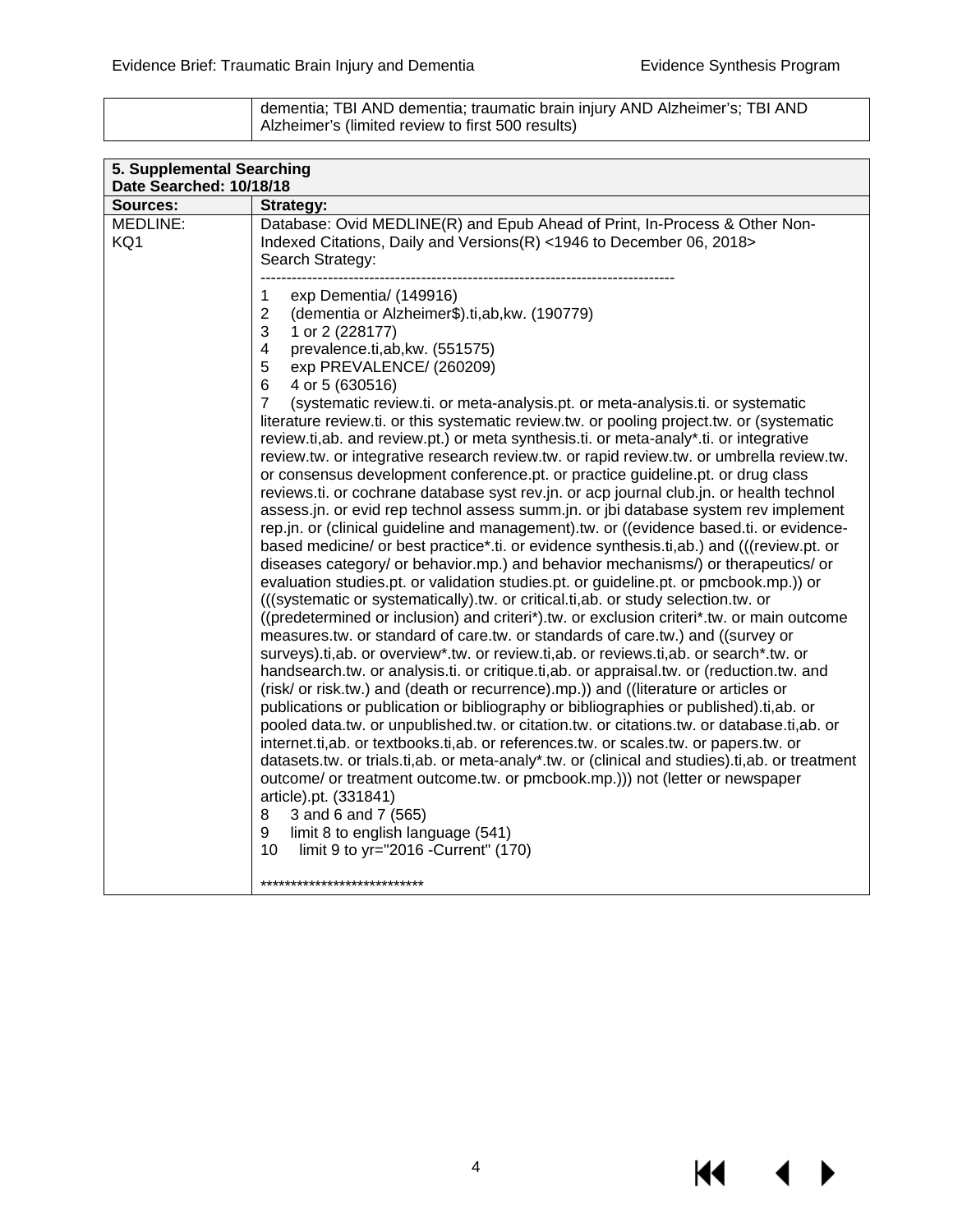KI I

| dementia; TBI AND dementia; traumatic brain injury AND Alzheimer's; TBI AND |
|-----------------------------------------------------------------------------|
| Alzheimer's (limited review to first 500 results)                           |

| 5. Supplemental Searching<br>Date Searched: 10/18/18 |                                                                                                                                                                                                                                                                                                                                                                                                                                                                                                                                                                                                                                                                                                                                                                                                                                                                                                                                                                                                                                                                                                                                                                                                                                                                                                                                                                                                                                                                                                                                                                                                                                                                                                                                                                                                                                                                                                                                                                                                                                                                                                                                                                                                                                                                                                                                                                                                                                                                 |  |  |  |
|------------------------------------------------------|-----------------------------------------------------------------------------------------------------------------------------------------------------------------------------------------------------------------------------------------------------------------------------------------------------------------------------------------------------------------------------------------------------------------------------------------------------------------------------------------------------------------------------------------------------------------------------------------------------------------------------------------------------------------------------------------------------------------------------------------------------------------------------------------------------------------------------------------------------------------------------------------------------------------------------------------------------------------------------------------------------------------------------------------------------------------------------------------------------------------------------------------------------------------------------------------------------------------------------------------------------------------------------------------------------------------------------------------------------------------------------------------------------------------------------------------------------------------------------------------------------------------------------------------------------------------------------------------------------------------------------------------------------------------------------------------------------------------------------------------------------------------------------------------------------------------------------------------------------------------------------------------------------------------------------------------------------------------------------------------------------------------------------------------------------------------------------------------------------------------------------------------------------------------------------------------------------------------------------------------------------------------------------------------------------------------------------------------------------------------------------------------------------------------------------------------------------------------|--|--|--|
| <b>Sources:</b>                                      | Strategy:                                                                                                                                                                                                                                                                                                                                                                                                                                                                                                                                                                                                                                                                                                                                                                                                                                                                                                                                                                                                                                                                                                                                                                                                                                                                                                                                                                                                                                                                                                                                                                                                                                                                                                                                                                                                                                                                                                                                                                                                                                                                                                                                                                                                                                                                                                                                                                                                                                                       |  |  |  |
| MEDLINE:<br>KQ1                                      | Database: Ovid MEDLINE(R) and Epub Ahead of Print, In-Process & Other Non-<br>Indexed Citations, Daily and Versions(R) <1946 to December 06, 2018><br>Search Strategy:                                                                                                                                                                                                                                                                                                                                                                                                                                                                                                                                                                                                                                                                                                                                                                                                                                                                                                                                                                                                                                                                                                                                                                                                                                                                                                                                                                                                                                                                                                                                                                                                                                                                                                                                                                                                                                                                                                                                                                                                                                                                                                                                                                                                                                                                                          |  |  |  |
|                                                      | 1<br>exp Dementia/ (149916)<br>$\overline{2}$<br>(dementia or Alzheimer\$).ti,ab, kw. (190779)<br>3<br>1 or 2 (228177)<br>$\overline{4}$<br>prevalence.ti,ab,kw. (551575)<br>5<br>exp PREVALENCE/ (260209)<br>6<br>4 or 5 (630516)<br>$\overline{7}$<br>(systematic review.ti. or meta-analysis.pt. or meta-analysis.ti. or systematic<br>literature review.ti. or this systematic review.tw. or pooling project.tw. or (systematic<br>review.ti,ab. and review.pt.) or meta synthesis.ti. or meta-analy*.ti. or integrative<br>review.tw. or integrative research review.tw. or rapid review.tw. or umbrella review.tw.<br>or consensus development conference.pt. or practice guideline.pt. or drug class<br>reviews.ti. or cochrane database syst rev.jn. or acp journal club.jn. or health technol<br>assess.jn. or evid rep technol assess summ.jn. or jbi database system rev implement<br>rep.jn. or (clinical guideline and management).tw. or ((evidence based.ti. or evidence-<br>based medicine/ or best practice*.ti. or evidence synthesis.ti,ab.) and (((review.pt. or<br>diseases category/ or behavior.mp.) and behavior mechanisms/) or therapeutics/ or<br>evaluation studies.pt. or validation studies.pt. or guideline.pt. or pmcbook.mp.)) or<br>(((systematic or systematically).tw. or critical.ti, ab. or study selection.tw. or<br>((predetermined or inclusion) and criteri*).tw. or exclusion criteri*.tw. or main outcome<br>measures.tw. or standard of care.tw. or standards of care.tw.) and ((survey or<br>surveys).ti,ab. or overview*.tw. or review.ti,ab. or reviews.ti,ab. or search*.tw. or<br>handsearch.tw. or analysis.ti. or critique.ti,ab. or appraisal.tw. or (reduction.tw. and<br>(risk/ or risk.tw.) and (death or recurrence).mp.)) and ((literature or articles or<br>publications or publication or bibliography or bibliographies or published).ti,ab. or<br>pooled data.tw. or unpublished.tw. or citation.tw. or citations.tw. or database.ti,ab. or<br>internet.ti,ab. or textbooks.ti,ab. or references.tw. or scales.tw. or papers.tw. or<br>datasets.tw. or trials.ti,ab. or meta-analy*.tw. or (clinical and studies).ti,ab. or treatment<br>outcome/ or treatment outcome.tw. or pmcbook.mp.))) not (letter or newspaper<br>article).pt. (331841)<br>8<br>3 and 6 and 7 (565)<br>limit 8 to english language (541)<br>9<br>10<br>limit 9 to yr="2016 - Current" (170)<br>*************************** |  |  |  |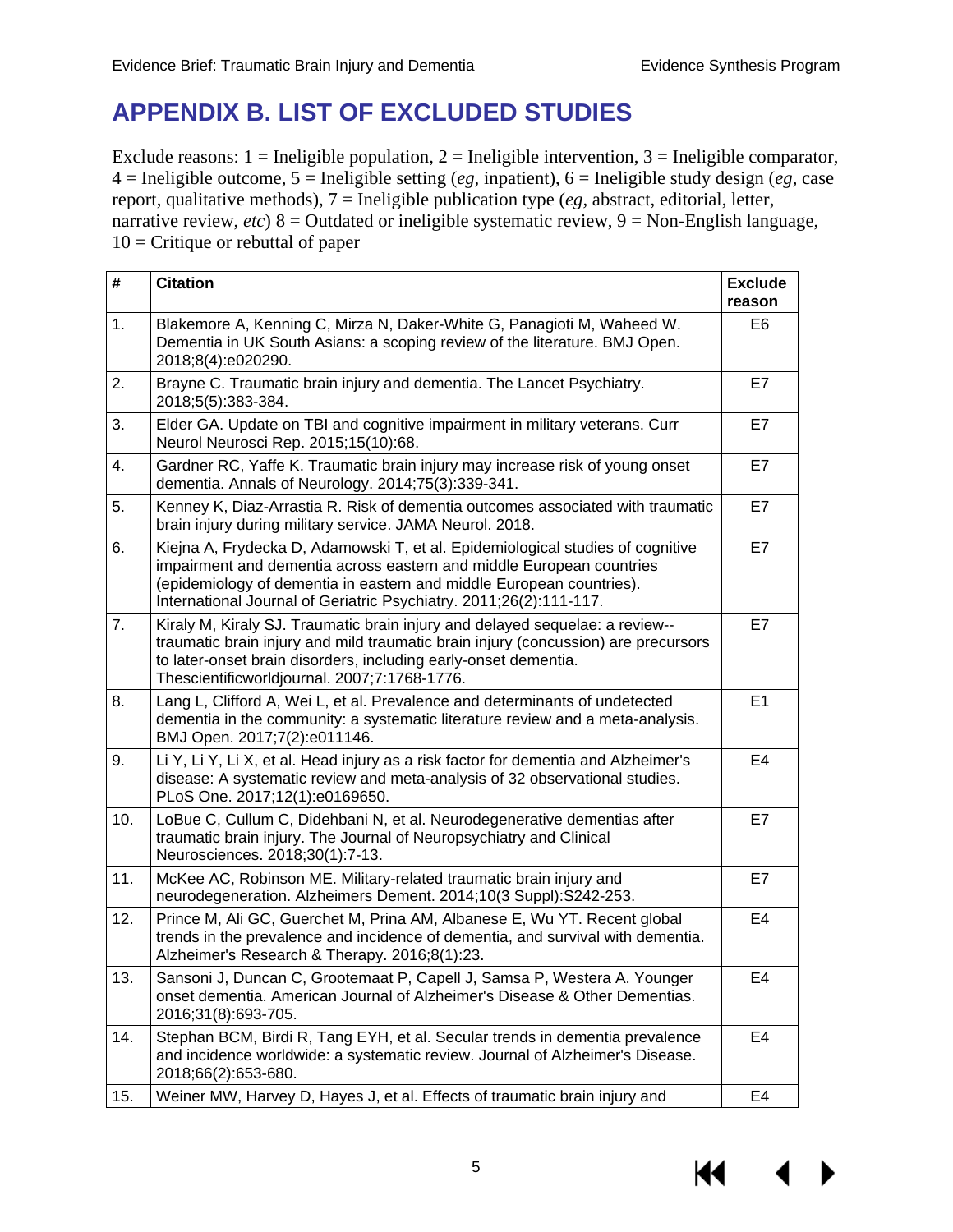## <span id="page-6-0"></span>**APPENDIX B. LIST OF EXCLUDED STUDIES**

Exclude reasons:  $1 =$  Ineligible population,  $2 =$  Ineligible intervention,  $3 =$  Ineligible comparator, 4 = Ineligible outcome, 5 = Ineligible setting (*eg,* inpatient), 6 = Ineligible study design (*eg,* case report, qualitative methods), 7 = Ineligible publication type (*eg,* abstract, editorial, letter, narrative review, *etc*) 8 = Outdated or ineligible systematic review, 9 = Non-English language,  $10 =$  Critique or rebuttal of paper

| #   | <b>Citation</b>                                                                                                                                                                                                                                                                                      | <b>Exclude</b><br>reason |
|-----|------------------------------------------------------------------------------------------------------------------------------------------------------------------------------------------------------------------------------------------------------------------------------------------------------|--------------------------|
| 1.  | Blakemore A, Kenning C, Mirza N, Daker-White G, Panagioti M, Waheed W.<br>Dementia in UK South Asians: a scoping review of the literature. BMJ Open.<br>2018;8(4):e020290.                                                                                                                           | E <sub>6</sub>           |
| 2.  | Brayne C. Traumatic brain injury and dementia. The Lancet Psychiatry.<br>2018;5(5):383-384.                                                                                                                                                                                                          | E7                       |
| 3.  | Elder GA. Update on TBI and cognitive impairment in military veterans. Curr<br>Neurol Neurosci Rep. 2015;15(10):68.                                                                                                                                                                                  | E7                       |
| 4.  | Gardner RC, Yaffe K. Traumatic brain injury may increase risk of young onset<br>dementia. Annals of Neurology. 2014;75(3):339-341.                                                                                                                                                                   | E7                       |
| 5.  | Kenney K, Diaz-Arrastia R. Risk of dementia outcomes associated with traumatic<br>brain injury during military service. JAMA Neurol. 2018.                                                                                                                                                           | E7                       |
| 6.  | Kiejna A, Frydecka D, Adamowski T, et al. Epidemiological studies of cognitive<br>impairment and dementia across eastern and middle European countries<br>(epidemiology of dementia in eastern and middle European countries).<br>International Journal of Geriatric Psychiatry. 2011;26(2):111-117. | E7                       |
| 7.  | Kiraly M, Kiraly SJ. Traumatic brain injury and delayed sequelae: a review--<br>traumatic brain injury and mild traumatic brain injury (concussion) are precursors<br>to later-onset brain disorders, including early-onset dementia.<br>Thescientificworldjournal. 2007;7:1768-1776.                | E7                       |
| 8.  | Lang L, Clifford A, Wei L, et al. Prevalence and determinants of undetected<br>dementia in the community: a systematic literature review and a meta-analysis.<br>BMJ Open. 2017;7(2):e011146.                                                                                                        | E1                       |
| 9.  | Li Y, Li Y, Li X, et al. Head injury as a risk factor for dementia and Alzheimer's<br>disease: A systematic review and meta-analysis of 32 observational studies.<br>PLoS One. 2017;12(1):e0169650.                                                                                                  | E <sub>4</sub>           |
| 10. | LoBue C, Cullum C, Didehbani N, et al. Neurodegenerative dementias after<br>traumatic brain injury. The Journal of Neuropsychiatry and Clinical<br>Neurosciences. 2018;30(1):7-13.                                                                                                                   | E7                       |
| 11. | McKee AC, Robinson ME. Military-related traumatic brain injury and<br>neurodegeneration. Alzheimers Dement. 2014;10(3 Suppl):S242-253.                                                                                                                                                               | E7                       |
| 12. | Prince M, Ali GC, Guerchet M, Prina AM, Albanese E, Wu YT. Recent global<br>trends in the prevalence and incidence of dementia, and survival with dementia.<br>Alzheimer's Research & Therapy. 2016;8(1):23.                                                                                         | E <sub>4</sub>           |
| 13. | Sansoni J, Duncan C, Grootemaat P, Capell J, Samsa P, Westera A. Younger<br>onset dementia. American Journal of Alzheimer's Disease & Other Dementias.<br>2016;31(8):693-705.                                                                                                                        | E4                       |
| 14. | Stephan BCM, Birdi R, Tang EYH, et al. Secular trends in dementia prevalence<br>and incidence worldwide: a systematic review. Journal of Alzheimer's Disease.<br>2018;66(2):653-680.                                                                                                                 | E4                       |
| 15. | Weiner MW, Harvey D, Hayes J, et al. Effects of traumatic brain injury and                                                                                                                                                                                                                           | E4                       |

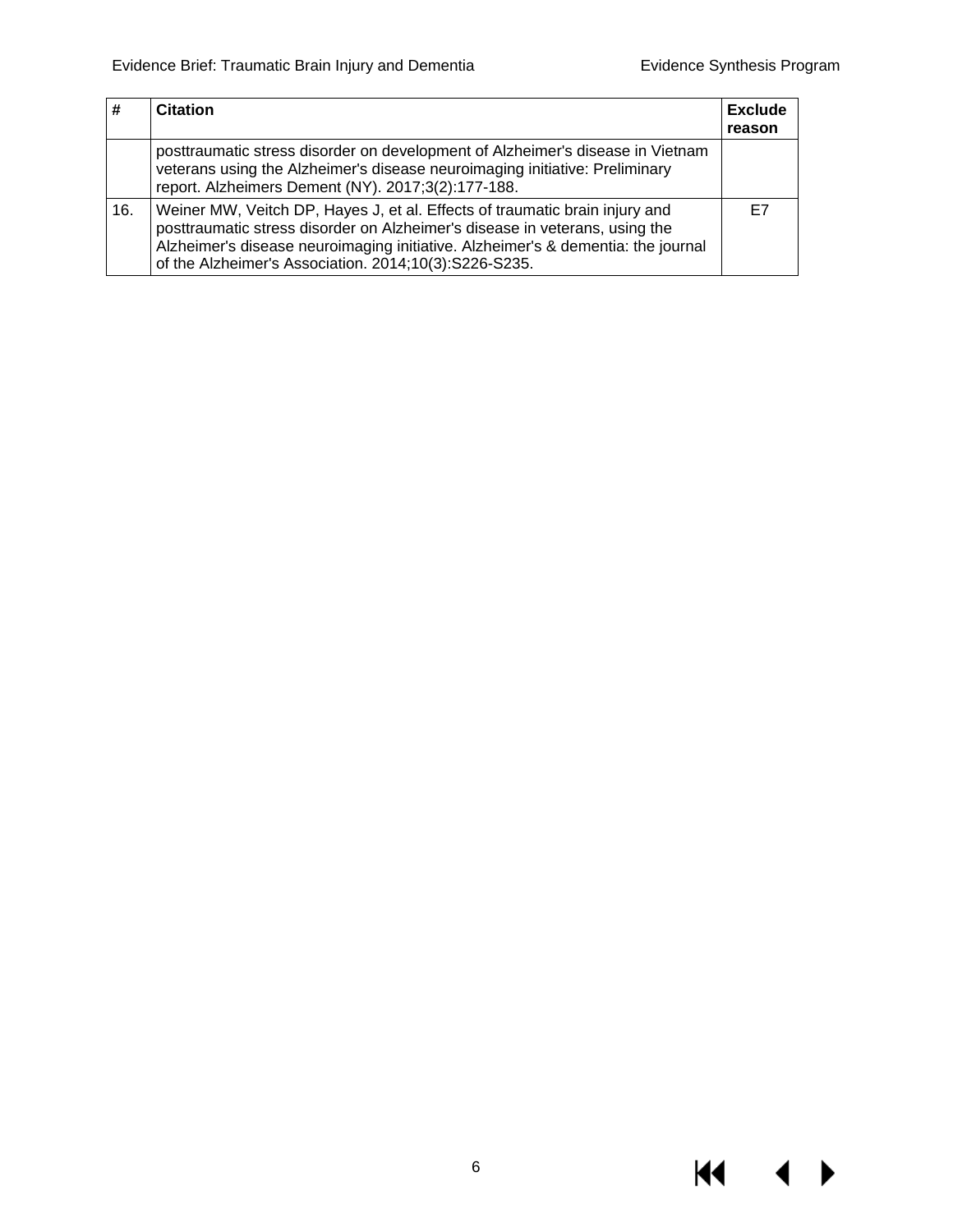$M \rightarrow$ 

|     | <b>Citation</b>                                                                                                                                                                                                                                                                                         | <b>Exclude</b><br>reason |
|-----|---------------------------------------------------------------------------------------------------------------------------------------------------------------------------------------------------------------------------------------------------------------------------------------------------------|--------------------------|
|     | posttraumatic stress disorder on development of Alzheimer's disease in Vietnam<br>veterans using the Alzheimer's disease neuroimaging initiative: Preliminary<br>report. Alzheimers Dement (NY). 2017;3(2):177-188.                                                                                     |                          |
| 16. | Weiner MW, Veitch DP, Hayes J, et al. Effects of traumatic brain injury and<br>posttraumatic stress disorder on Alzheimer's disease in veterans, using the<br>Alzheimer's disease neuroimaging initiative. Alzheimer's & dementia: the journal<br>of the Alzheimer's Association. 2014;10(3):S226-S235. | E7                       |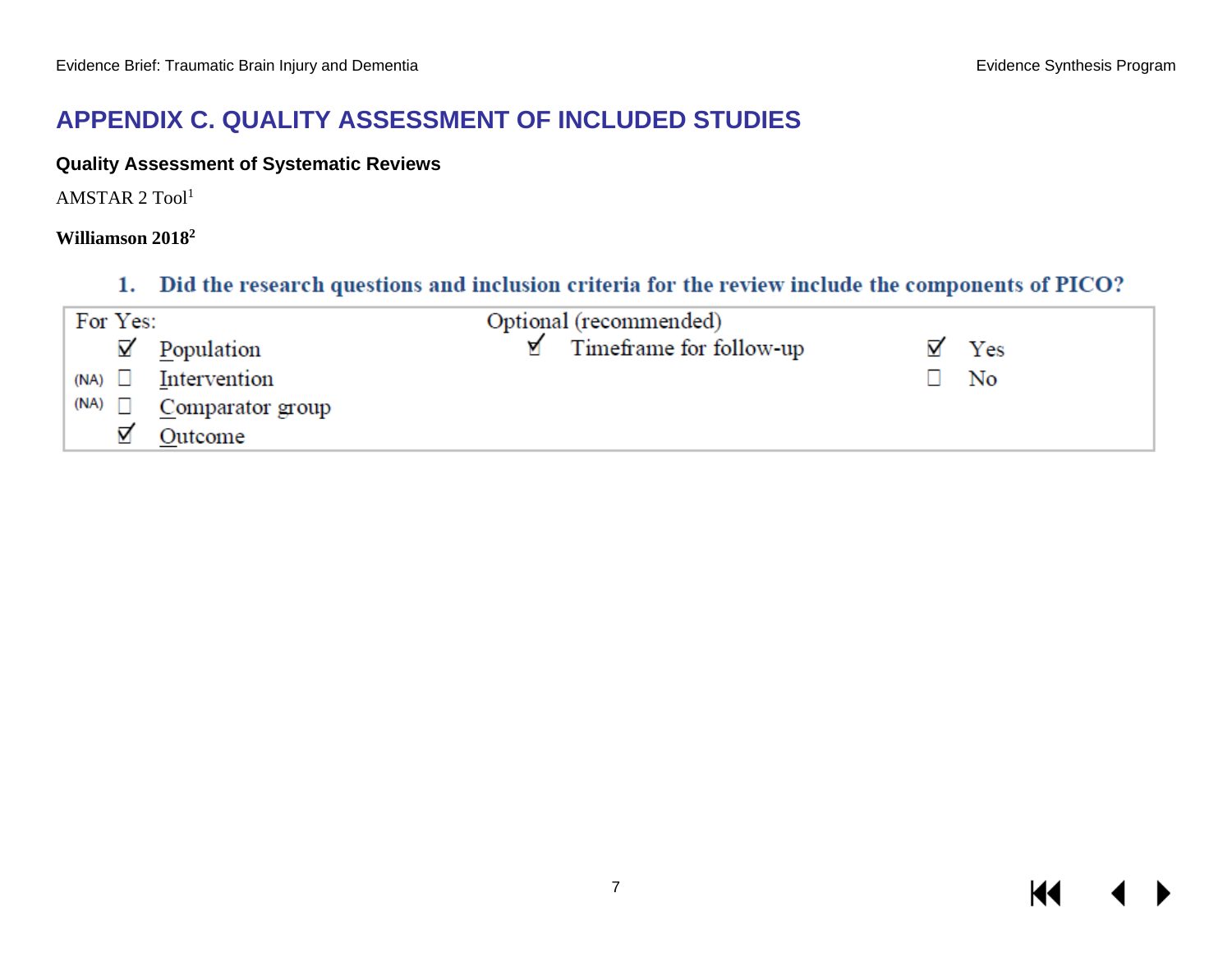## **APPENDIX C. QUALITY ASSESSMENT OF INCLUDED STUDIES**

#### **Quality Assessment of Systematic Reviews**

AMSTAR 2 Tool1

#### **Williamson 20182**

#### 1. Did the research questions and inclusion criteria for the review include the components of PICO?

<span id="page-8-1"></span><span id="page-8-0"></span>

|               | For Yes: |                          | Optional (recommended)  |                |  |
|---------------|----------|--------------------------|-------------------------|----------------|--|
|               |          | $\mathbf{Z}'$ Population | Timeframe for follow-up | Yes            |  |
| $(NA)$ $\Box$ |          | Intervention             |                         | N <sub>o</sub> |  |
| (NA)          |          | Comparator group         |                         |                |  |
|               |          | Outcome                  |                         |                |  |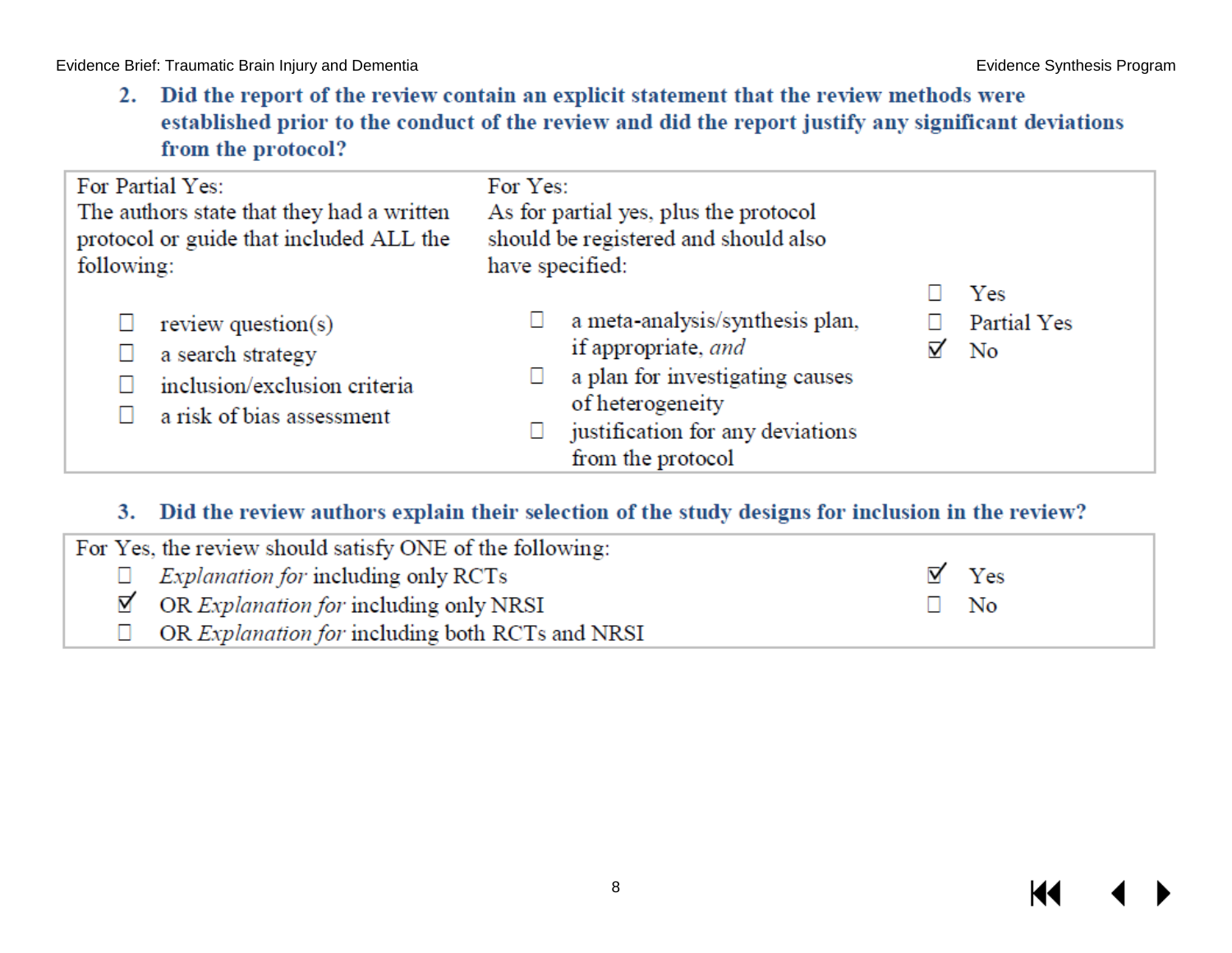2. Did the report of the review contain an explicit statement that the review methods were established prior to the conduct of the review and did the report justify any significant deviations from the protocol?

| For Partial Yes:<br>The authors state that they had a written<br>protocol or guide that included ALL the<br>following: | For Yes:<br>As for partial yes, plus the protocol<br>should be registered and should also<br>have specified:                                                           |                                      |
|------------------------------------------------------------------------------------------------------------------------|------------------------------------------------------------------------------------------------------------------------------------------------------------------------|--------------------------------------|
| review question(s)<br>a search strategy<br>inclusion/exclusion criteria<br>a risk of bias assessment                   | a meta-analysis/synthesis plan,<br>if appropriate, and<br>a plan for investigating causes<br>of heterogeneity<br>justification for any deviations<br>from the protocol | Yes<br>Partial Yes<br>$\overline{N}$ |

#### 3. Did the review authors explain their selection of the study designs for inclusion in the review?

| For Yes, the review should satisfy ONE of the following:      |              |
|---------------------------------------------------------------|--------------|
| $\Box$ <i>Explanation for including only RCTs</i>             | $\nabla$ Yes |
| $\boxtimes$ OR <i>Explanation for</i> including only NRSI     | $\Box$ No    |
| $\Box$ OR <i>Explanation for including both RCTs and NRSI</i> |              |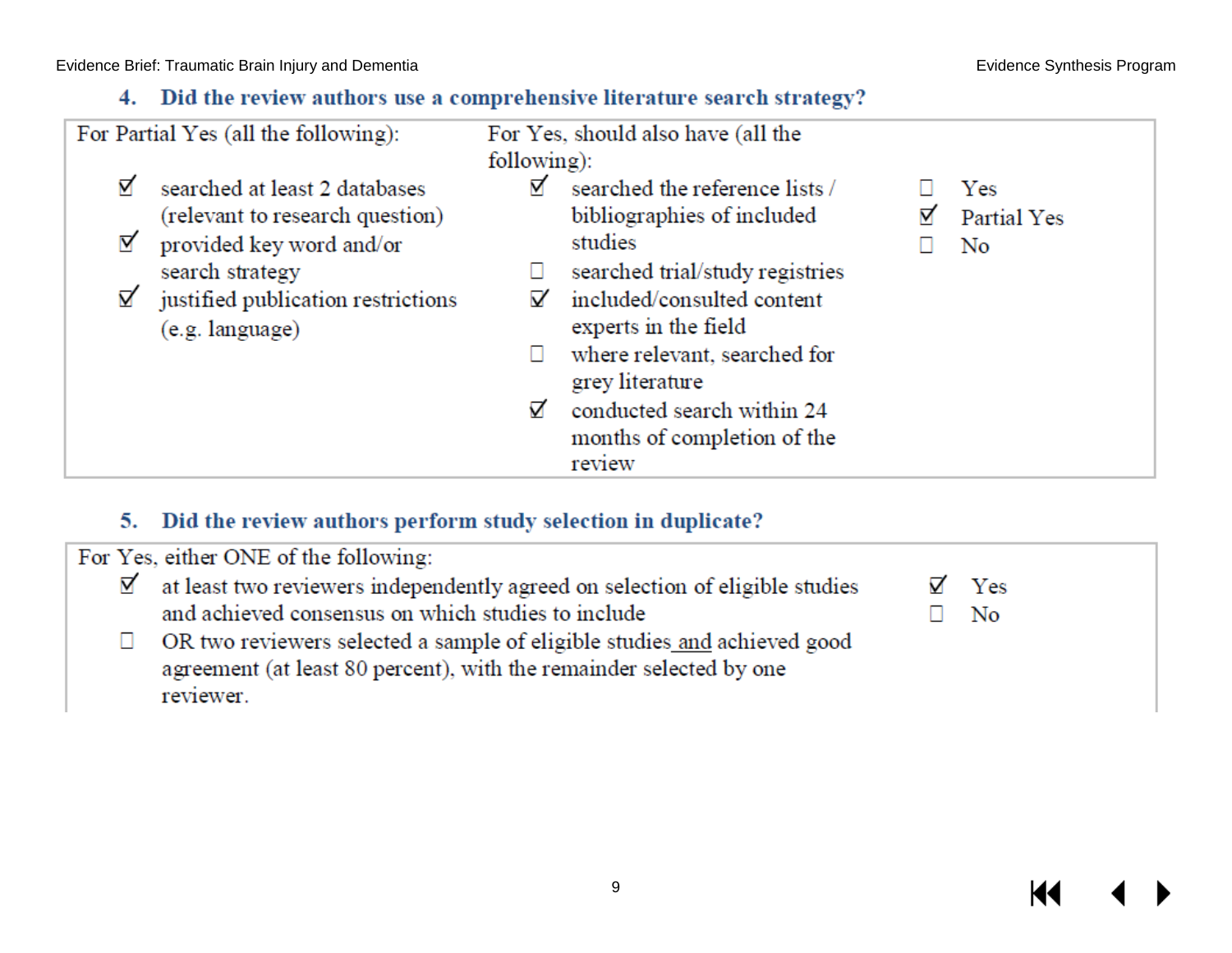### 4. Did the review authors use a comprehensive literature search strategy?

| For Partial Yes (all the following):                                                                                                                                                    | For Yes, should also have (all the<br>following):                                                                                                                                                                                                                                                         |                          |  |
|-----------------------------------------------------------------------------------------------------------------------------------------------------------------------------------------|-----------------------------------------------------------------------------------------------------------------------------------------------------------------------------------------------------------------------------------------------------------------------------------------------------------|--------------------------|--|
| ⊠<br>searched at least 2 databases<br>(relevant to research question)<br>⊠<br>provided key word and/or<br>search strategy<br>☑<br>justified publication restrictions<br>(e.g. language) | ∀<br>searched the reference lists /<br>bibliographies of included<br>studies<br>searched trial/study registries<br>included/consulted content<br>V<br>experts in the field<br>where relevant, searched for<br>grey literature<br>conducted search within 24<br>⊽<br>months of completion of the<br>review | Yes<br>Partial Yes<br>No |  |

#### 5. Did the review authors perform study selection in duplicate?

For Yes, either ONE of the following:

at least two reviewers independently agreed on selection of eligible studies ☑ and achieved consensus on which studies to include

OR two reviewers selected a sample of eligible studies and achieved good  $\Box$ agreement (at least 80 percent), with the remainder selected by one reviewer.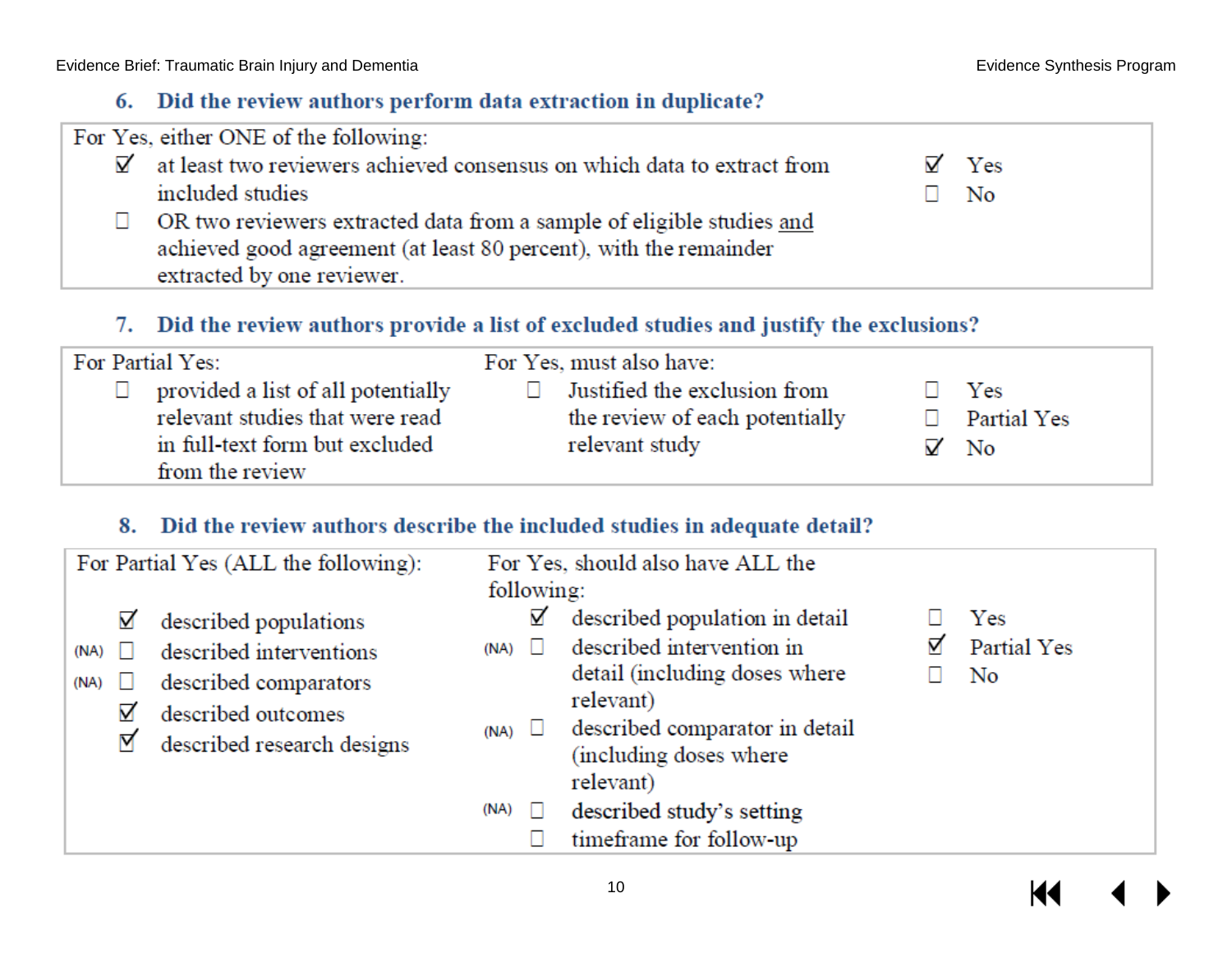#### 6. Did the review authors perform data extraction in duplicate?

| For Yes, either ONE of the following:                                                 |              |
|---------------------------------------------------------------------------------------|--------------|
| $\mathbb{Z}'$ at least two reviewers achieved consensus on which data to extract from | $\nabla$ Yes |
| included studies                                                                      | $\Box$ No    |
| OR two reviewers extracted data from a sample of eligible studies and                 |              |
| achieved good agreement (at least 80 percent), with the remainder                     |              |
| extracted by one reviewer.                                                            |              |

#### 7. Did the review authors provide a list of excluded studies and justify the exclusions?

| For Partial Yes:<br>For Yes, must also have:                                                                                                                                                                                 |              |                                          |
|------------------------------------------------------------------------------------------------------------------------------------------------------------------------------------------------------------------------------|--------------|------------------------------------------|
| $\Box$ provided a list of all potentially<br>$\Box$ Justified the exclusion from<br>relevant studies that were read<br>the review of each potentially<br>in full-text form but excluded<br>relevant study<br>from the review | $\mathbf{1}$ | Yes<br>$\Box$ Partial Yes<br>$\nabla$ No |

#### 8. Did the review authors describe the included studies in adequate detail?

|                             | For Partial Yes (ALL the following):                                                                                          | following:                 | For Yes, should also have ALL the                                                                                                                                                  |                          |
|-----------------------------|-------------------------------------------------------------------------------------------------------------------------------|----------------------------|------------------------------------------------------------------------------------------------------------------------------------------------------------------------------------|--------------------------|
| ☑<br>(NA)<br>(NA)<br>⊠<br>⊠ | described populations<br>described interventions<br>described comparators<br>described outcomes<br>described research designs | ☑<br>(NA)<br>$(NA)$ $\Box$ | described population in detail<br>described intervention in<br>detail (including doses where<br>relevant)<br>described comparator in detail<br>(including doses where<br>relevant) | Yes<br>Partial Yes<br>No |
|                             |                                                                                                                               | (NA)                       | described study's setting<br>timeframe for follow-up                                                                                                                               |                          |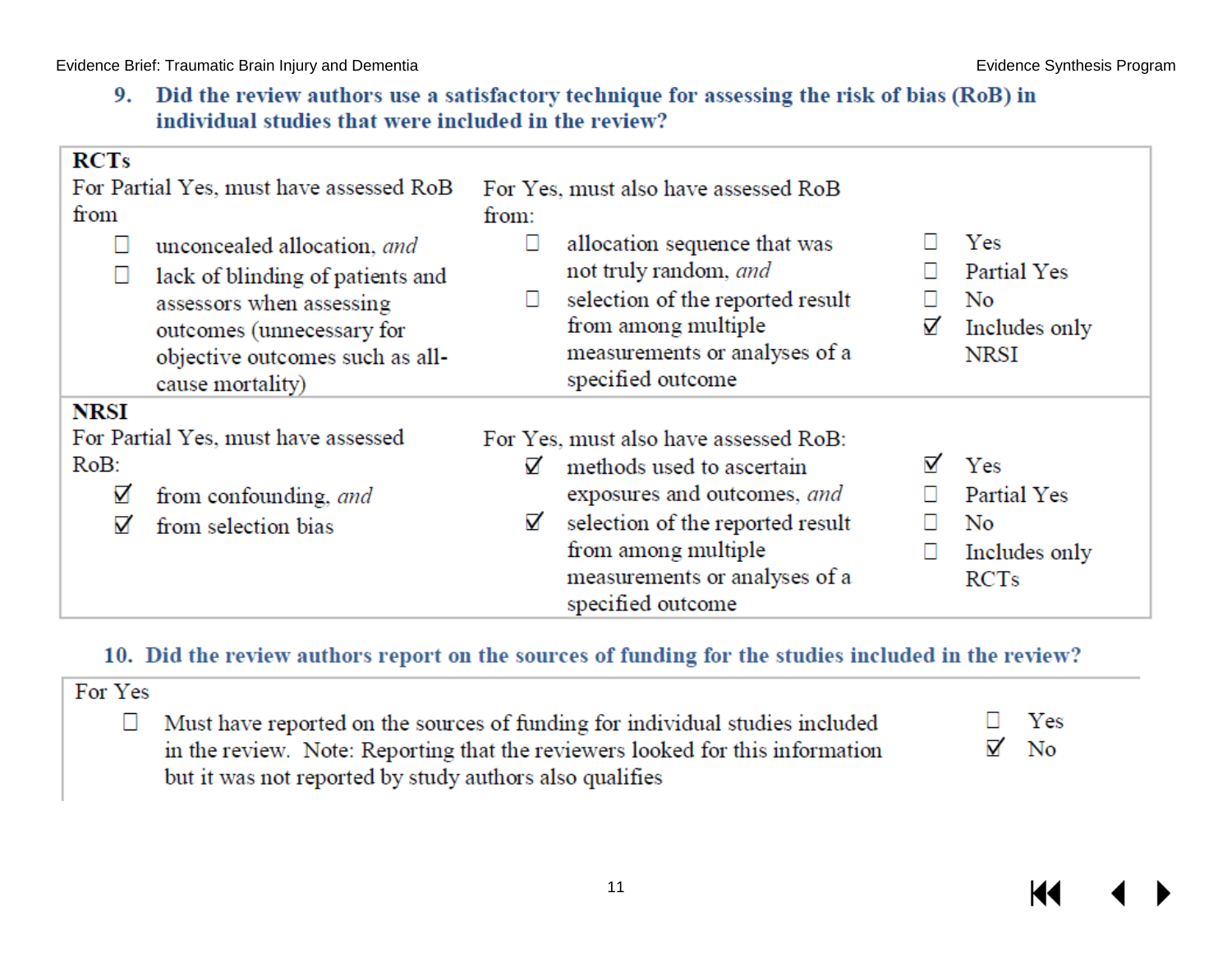9. Did the review authors use a satisfactory technique for assessing the risk of bias (RoB) in individual studies that were included in the review?

| <b>RCTs</b><br>For Partial Yes, must have assessed RoB<br>from<br>unconcealed allocation, and<br>lack of blinding of patients and<br>assessors when assessing<br>outcomes (unnecessary for<br>objective outcomes such as all-<br>cause mortality) | For Yes, must also have assessed RoB<br>from:<br>allocation sequence that was<br>not truly random, and<br>selection of the reported result<br>from among multiple<br>measurements or analyses of a<br>specified outcome      | ☑ | Yes<br>Partial Yes<br>No<br>Includes only<br><b>NRSI</b> |
|---------------------------------------------------------------------------------------------------------------------------------------------------------------------------------------------------------------------------------------------------|------------------------------------------------------------------------------------------------------------------------------------------------------------------------------------------------------------------------------|---|----------------------------------------------------------|
| <b>NRSI</b><br>For Partial Yes, must have assessed<br>RoB:<br>☑<br>from confounding, and<br>☑<br>from selection bias                                                                                                                              | For Yes, must also have assessed RoB:<br>⊽<br>methods used to ascertain<br>exposures and outcomes, and<br>☑<br>selection of the reported result<br>from among multiple<br>measurements or analyses of a<br>specified outcome | ⊽ | Yes<br>Partial Yes<br>No<br>Includes only<br><b>RCTs</b> |

#### 10. Did the review authors report on the sources of funding for the studies included in the review?

| For Yes |                                                                                                                                                               |                           |
|---------|---------------------------------------------------------------------------------------------------------------------------------------------------------------|---------------------------|
|         | Must have reported on the sources of funding for individual studies included<br>in the review. Note: Reporting that the reviewers looked for this information | $\Box$ Yes<br>$\nabla$ No |
|         | but it was not reported by study authors also qualifies                                                                                                       |                           |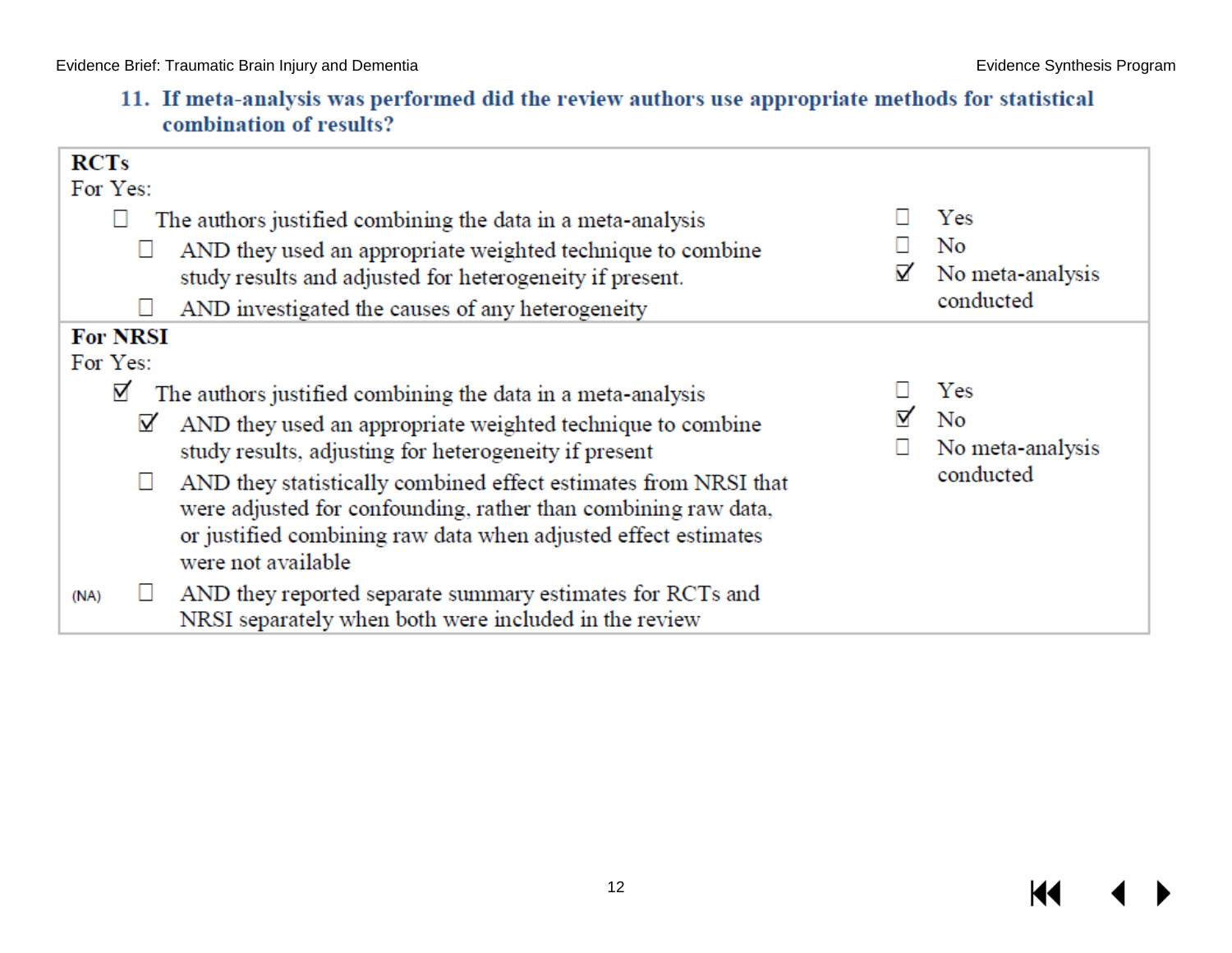11. If meta-analysis was performed did the review authors use appropriate methods for statistical combination of results?

| <b>RCTs</b><br>For Yes:                                                                                                                                                                                                                                                                                                                                                                                                                                                                                                                                                                     |   |                                            |
|---------------------------------------------------------------------------------------------------------------------------------------------------------------------------------------------------------------------------------------------------------------------------------------------------------------------------------------------------------------------------------------------------------------------------------------------------------------------------------------------------------------------------------------------------------------------------------------------|---|--------------------------------------------|
| The authors justified combining the data in a meta-analysis<br>AND they used an appropriate weighted technique to combine<br>Ш<br>study results and adjusted for heterogeneity if present.<br>AND investigated the causes of any heterogeneity                                                                                                                                                                                                                                                                                                                                              | ⊽ | Yes<br>No<br>No meta-analysis<br>conducted |
| <b>For NRSI</b><br>For Yes:<br>☑<br>The authors justified combining the data in a meta-analysis<br>AND they used an appropriate weighted technique to combine<br>☑<br>study results, adjusting for heterogeneity if present<br>AND they statistically combined effect estimates from NRSI that<br>□<br>were adjusted for confounding, rather than combining raw data,<br>or justified combining raw data when adjusted effect estimates<br>were not available<br>AND they reported separate summary estimates for RCTs and<br>(NA)<br>NRSI separately when both were included in the review |   | Yes<br>No<br>No meta-analysis<br>conducted |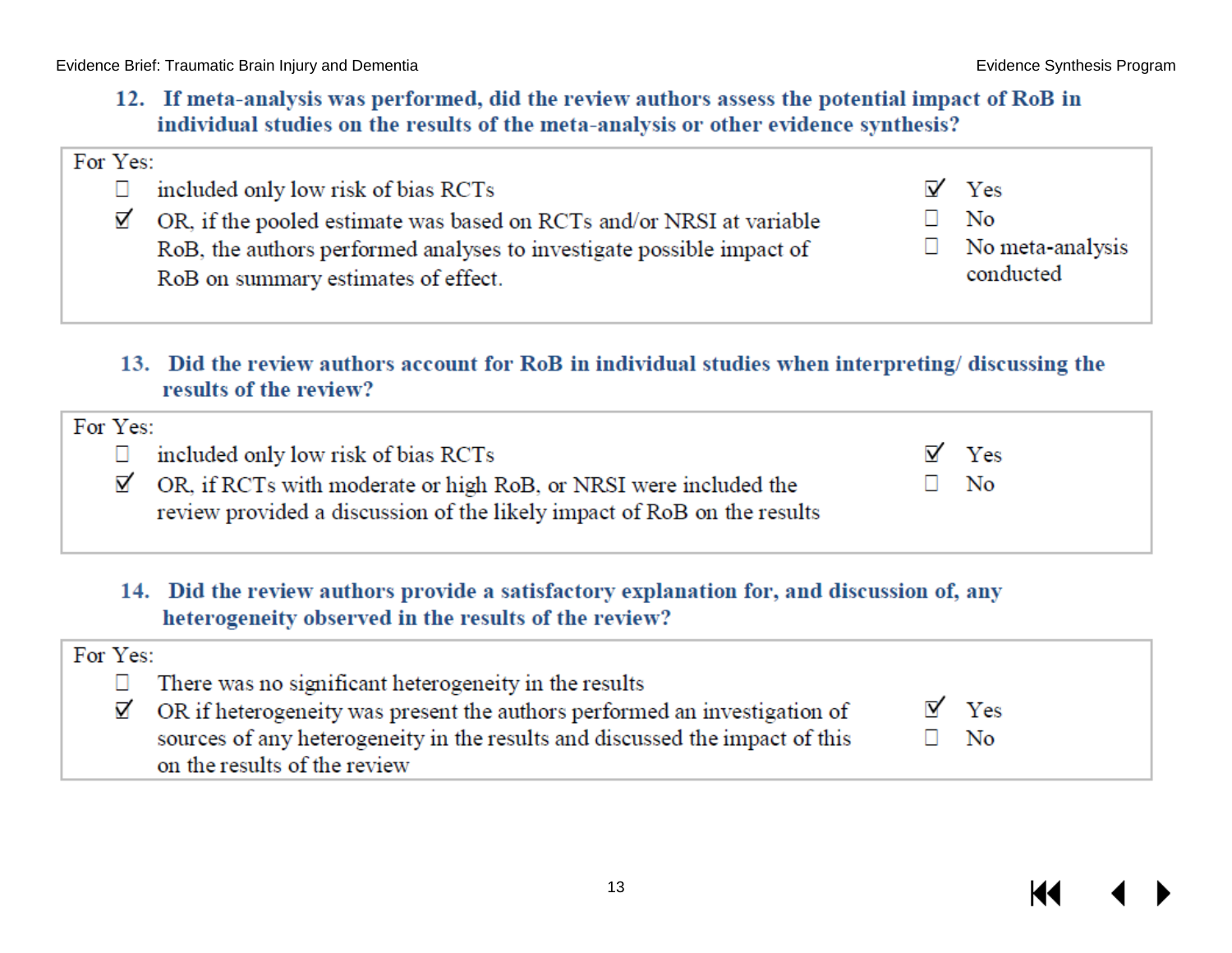К

Evidence Brief: Traumatic Brain Injury and Dementia **Evidence Synthesis Program** Evidence Synthesis Program

12. If meta-analysis was performed, did the review authors assess the potential impact of RoB in individual studies on the results of the meta-analysis or other evidence synthesis?

| For Yes: |                                                                                  |                  |
|----------|----------------------------------------------------------------------------------|------------------|
|          | included only low risk of bias RCTs                                              | $\nabla$ Yes     |
|          | $\boxtimes$ OR, if the pooled estimate was based on RCTs and/or NRSI at variable | No               |
|          | RoB, the authors performed analyses to investigate possible impact of            | No meta-analysis |
|          | RoB on summary estimates of effect.                                              | conducted        |
|          |                                                                                  |                  |

13. Did the review authors account for RoB in individual studies when interpreting/discussing the results of the review?

| For Yes:                                                                                                                                                  |              |
|-----------------------------------------------------------------------------------------------------------------------------------------------------------|--------------|
| $\Box$ included only low risk of bias RCTs                                                                                                                | $\nabla$ Yes |
| $\mathbb{Z}'$ OR, if RCTs with moderate or high RoB, or NRSI were included the<br>review provided a discussion of the likely impact of RoB on the results | $\Box$ No    |

14. Did the review authors provide a satisfactory explanation for, and discussion of, any heterogeneity observed in the results of the review?

| For Yes: |                                                                                       |                     |
|----------|---------------------------------------------------------------------------------------|---------------------|
|          | There was no significant heterogeneity in the results                                 |                     |
|          | $\boxtimes$ OR if heterogeneity was present the authors performed an investigation of | $\triangledown$ Yes |
|          | sources of any heterogeneity in the results and discussed the impact of this          | ∃ No                |
|          | on the results of the review                                                          |                     |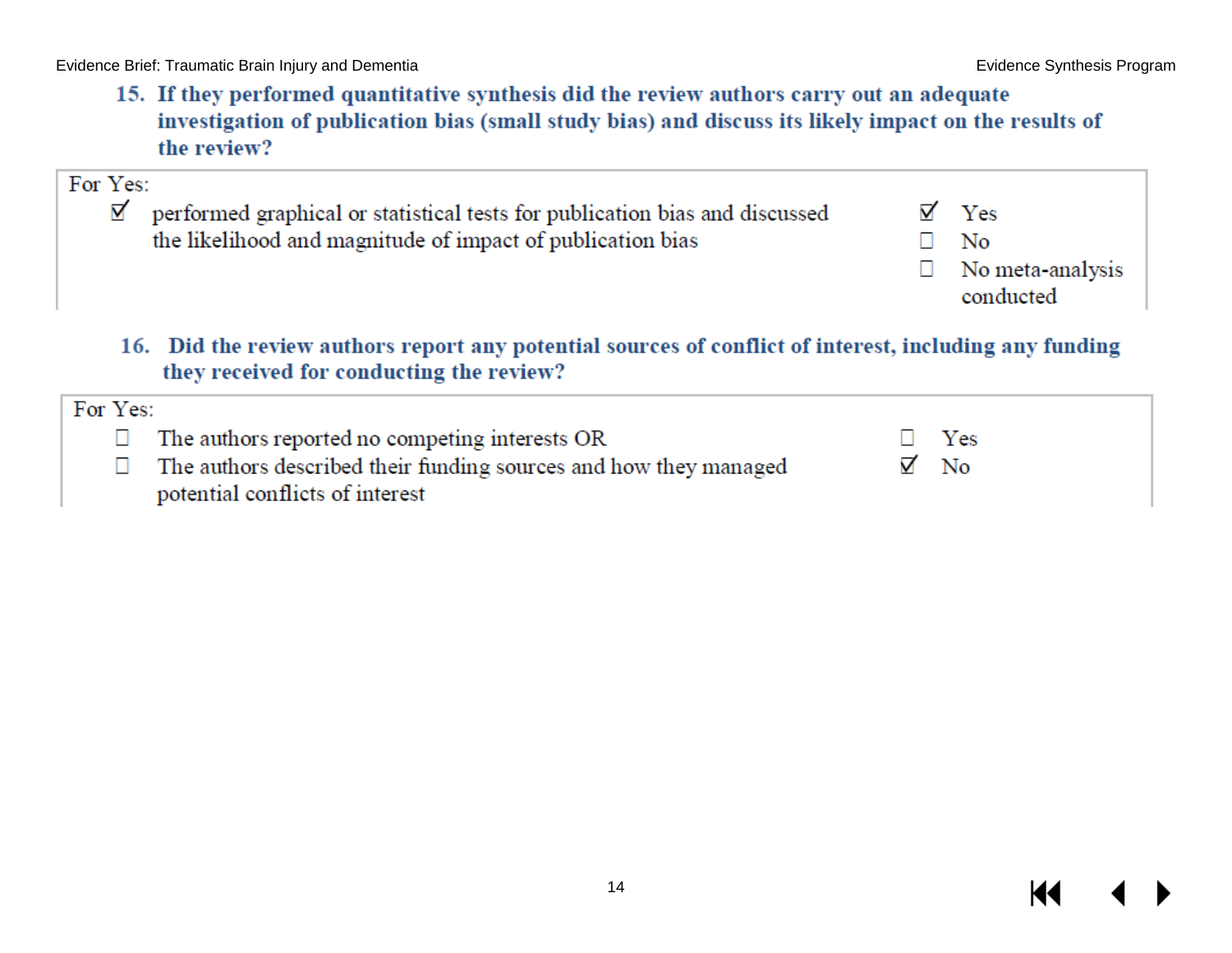15. If they performed quantitative synthesis did the review authors carry out an adequate investigation of publication bias (small study bias) and discuss its likely impact on the results of the review?

| 16. Did the review authors report any potential sources of conflict of interest, including any funding<br>they received for conducting the review?<br>For Yes: |   |                               |
|----------------------------------------------------------------------------------------------------------------------------------------------------------------|---|-------------------------------|
|                                                                                                                                                                |   | No meta-analysis<br>conducted |
| For Yes:<br>⊠<br>performed graphical or statistical tests for publication bias and discussed<br>the likelihood and magnitude of impact of publication bias     | ⊽ | Yes<br>No                     |

| $\Box$ The authors reported no competing interests OR                   | $\Box$ Yes  |
|-------------------------------------------------------------------------|-------------|
| $\Box$ The authors described their funding sources and how they managed | $\nabla$ No |
| potential conflicts of interest                                         |             |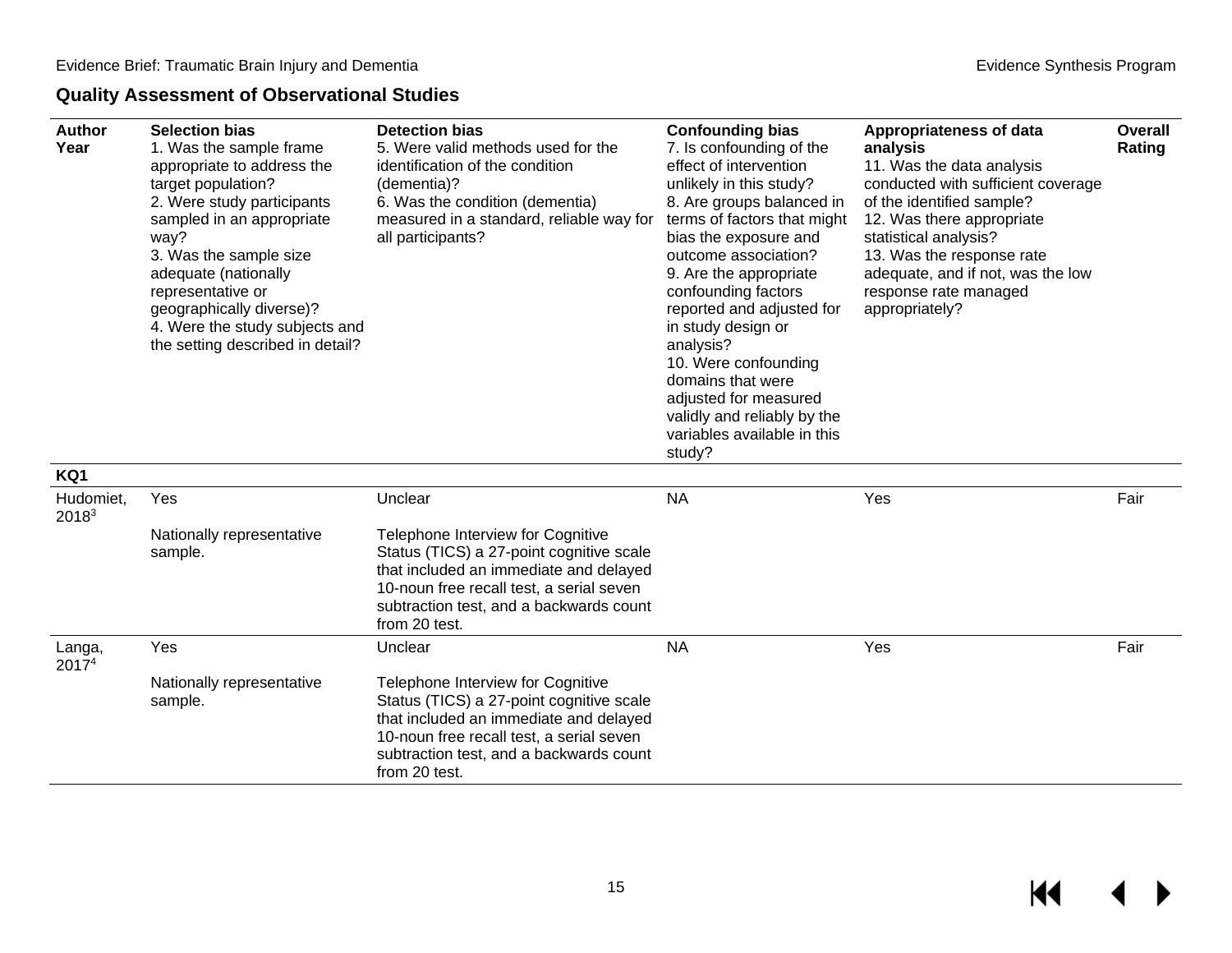#### **Quality Assessment of Observational Studies**

<span id="page-16-0"></span>

| <b>Author</b><br>Year          | <b>Selection bias</b><br>1. Was the sample frame<br>appropriate to address the<br>target population?<br>2. Were study participants<br>sampled in an appropriate<br>way?<br>3. Was the sample size<br>adequate (nationally<br>representative or<br>geographically diverse)?<br>4. Were the study subjects and<br>the setting described in detail? | <b>Detection bias</b><br>5. Were valid methods used for the<br>identification of the condition<br>(dementia)?<br>6. Was the condition (dementia)<br>measured in a standard, reliable way for<br>all participants?               | <b>Confounding bias</b><br>7. Is confounding of the<br>effect of intervention<br>unlikely in this study?<br>8. Are groups balanced in<br>terms of factors that might<br>bias the exposure and<br>outcome association?<br>9. Are the appropriate<br>confounding factors<br>reported and adjusted for<br>in study design or<br>analysis?<br>10. Were confounding<br>domains that were<br>adjusted for measured<br>validly and reliably by the<br>variables available in this<br>study? | <b>Appropriateness of data</b><br>analysis<br>11. Was the data analysis<br>conducted with sufficient coverage<br>of the identified sample?<br>12. Was there appropriate<br>statistical analysis?<br>13. Was the response rate<br>adequate, and if not, was the low<br>response rate managed<br>appropriately? | Overall<br>Rating |
|--------------------------------|--------------------------------------------------------------------------------------------------------------------------------------------------------------------------------------------------------------------------------------------------------------------------------------------------------------------------------------------------|---------------------------------------------------------------------------------------------------------------------------------------------------------------------------------------------------------------------------------|--------------------------------------------------------------------------------------------------------------------------------------------------------------------------------------------------------------------------------------------------------------------------------------------------------------------------------------------------------------------------------------------------------------------------------------------------------------------------------------|---------------------------------------------------------------------------------------------------------------------------------------------------------------------------------------------------------------------------------------------------------------------------------------------------------------|-------------------|
| KQ1                            |                                                                                                                                                                                                                                                                                                                                                  |                                                                                                                                                                                                                                 |                                                                                                                                                                                                                                                                                                                                                                                                                                                                                      |                                                                                                                                                                                                                                                                                                               |                   |
| Hudomiet,<br>2018 <sup>3</sup> | Yes                                                                                                                                                                                                                                                                                                                                              | Unclear                                                                                                                                                                                                                         | <b>NA</b>                                                                                                                                                                                                                                                                                                                                                                                                                                                                            | Yes                                                                                                                                                                                                                                                                                                           | Fair              |
|                                | Nationally representative<br>sample.                                                                                                                                                                                                                                                                                                             | Telephone Interview for Cognitive<br>Status (TICS) a 27-point cognitive scale<br>that included an immediate and delayed<br>10-noun free recall test, a serial seven<br>subtraction test, and a backwards count<br>from 20 test. |                                                                                                                                                                                                                                                                                                                                                                                                                                                                                      |                                                                                                                                                                                                                                                                                                               |                   |
| Langa,<br>20174                | Yes                                                                                                                                                                                                                                                                                                                                              | Unclear                                                                                                                                                                                                                         | <b>NA</b>                                                                                                                                                                                                                                                                                                                                                                                                                                                                            | Yes                                                                                                                                                                                                                                                                                                           | Fair              |
|                                | Nationally representative<br>sample.                                                                                                                                                                                                                                                                                                             | Telephone Interview for Cognitive<br>Status (TICS) a 27-point cognitive scale<br>that included an immediate and delayed<br>10-noun free recall test, a serial seven<br>subtraction test, and a backwards count<br>from 20 test. |                                                                                                                                                                                                                                                                                                                                                                                                                                                                                      |                                                                                                                                                                                                                                                                                                               |                   |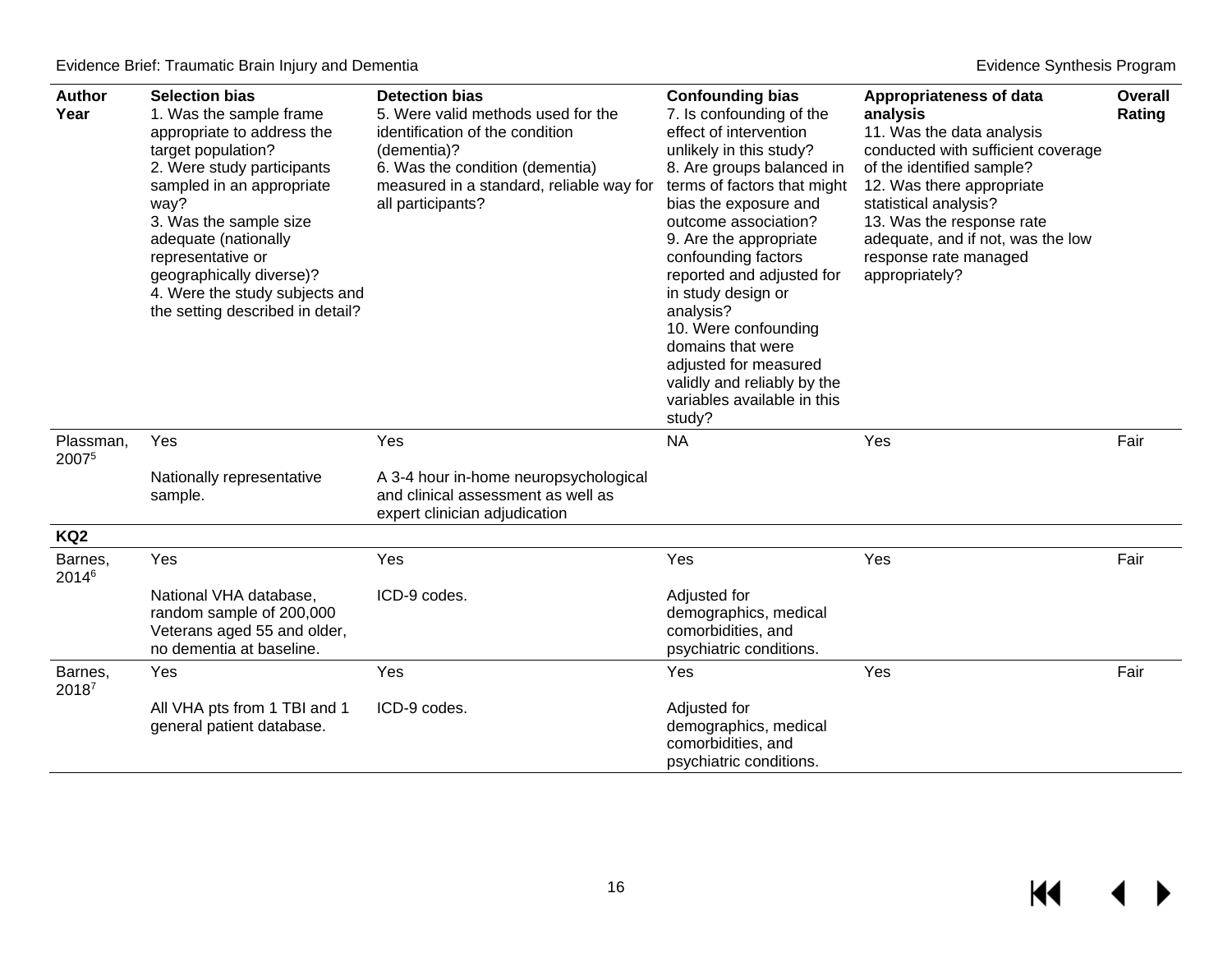$M$ 

 $\blacktriangleright$ 

| <b>Author</b><br>Year        | <b>Selection bias</b><br>1. Was the sample frame<br>appropriate to address the<br>target population?<br>2. Were study participants<br>sampled in an appropriate<br>way?<br>3. Was the sample size<br>adequate (nationally<br>representative or<br>geographically diverse)?<br>4. Were the study subjects and<br>the setting described in detail? | <b>Detection bias</b><br>5. Were valid methods used for the<br>identification of the condition<br>(dementia)?<br>6. Was the condition (dementia)<br>measured in a standard, reliable way for<br>all participants? | <b>Confounding bias</b><br>7. Is confounding of the<br>effect of intervention<br>unlikely in this study?<br>8. Are groups balanced in<br>terms of factors that might<br>bias the exposure and<br>outcome association?<br>9. Are the appropriate<br>confounding factors<br>reported and adjusted for<br>in study design or<br>analysis?<br>10. Were confounding<br>domains that were<br>adjusted for measured<br>validly and reliably by the<br>variables available in this<br>study? | Appropriateness of data<br>analysis<br>11. Was the data analysis<br>conducted with sufficient coverage<br>of the identified sample?<br>12. Was there appropriate<br>statistical analysis?<br>13. Was the response rate<br>adequate, and if not, was the low<br>response rate managed<br>appropriately? | <b>Overall</b><br>Rating |
|------------------------------|--------------------------------------------------------------------------------------------------------------------------------------------------------------------------------------------------------------------------------------------------------------------------------------------------------------------------------------------------|-------------------------------------------------------------------------------------------------------------------------------------------------------------------------------------------------------------------|--------------------------------------------------------------------------------------------------------------------------------------------------------------------------------------------------------------------------------------------------------------------------------------------------------------------------------------------------------------------------------------------------------------------------------------------------------------------------------------|--------------------------------------------------------------------------------------------------------------------------------------------------------------------------------------------------------------------------------------------------------------------------------------------------------|--------------------------|
| Plassman,<br>20075           | Yes                                                                                                                                                                                                                                                                                                                                              | Yes                                                                                                                                                                                                               | <b>NA</b>                                                                                                                                                                                                                                                                                                                                                                                                                                                                            | Yes                                                                                                                                                                                                                                                                                                    | Fair                     |
|                              | Nationally representative<br>sample.                                                                                                                                                                                                                                                                                                             | A 3-4 hour in-home neuropsychological<br>and clinical assessment as well as<br>expert clinician adjudication                                                                                                      |                                                                                                                                                                                                                                                                                                                                                                                                                                                                                      |                                                                                                                                                                                                                                                                                                        |                          |
| KQ <sub>2</sub>              |                                                                                                                                                                                                                                                                                                                                                  |                                                                                                                                                                                                                   |                                                                                                                                                                                                                                                                                                                                                                                                                                                                                      |                                                                                                                                                                                                                                                                                                        |                          |
| Barnes,<br>2014 <sup>6</sup> | Yes                                                                                                                                                                                                                                                                                                                                              | Yes                                                                                                                                                                                                               | Yes                                                                                                                                                                                                                                                                                                                                                                                                                                                                                  | Yes                                                                                                                                                                                                                                                                                                    | Fair                     |
|                              | National VHA database,<br>random sample of 200,000<br>Veterans aged 55 and older,<br>no dementia at baseline.                                                                                                                                                                                                                                    | ICD-9 codes.                                                                                                                                                                                                      | Adjusted for<br>demographics, medical<br>comorbidities, and<br>psychiatric conditions.                                                                                                                                                                                                                                                                                                                                                                                               |                                                                                                                                                                                                                                                                                                        |                          |
| Barnes,<br>2018 <sup>7</sup> | Yes                                                                                                                                                                                                                                                                                                                                              | Yes                                                                                                                                                                                                               | Yes                                                                                                                                                                                                                                                                                                                                                                                                                                                                                  | Yes                                                                                                                                                                                                                                                                                                    | Fair                     |
|                              | All VHA pts from 1 TBI and 1<br>general patient database.                                                                                                                                                                                                                                                                                        | ICD-9 codes.                                                                                                                                                                                                      | Adjusted for<br>demographics, medical<br>comorbidities, and<br>psychiatric conditions.                                                                                                                                                                                                                                                                                                                                                                                               |                                                                                                                                                                                                                                                                                                        |                          |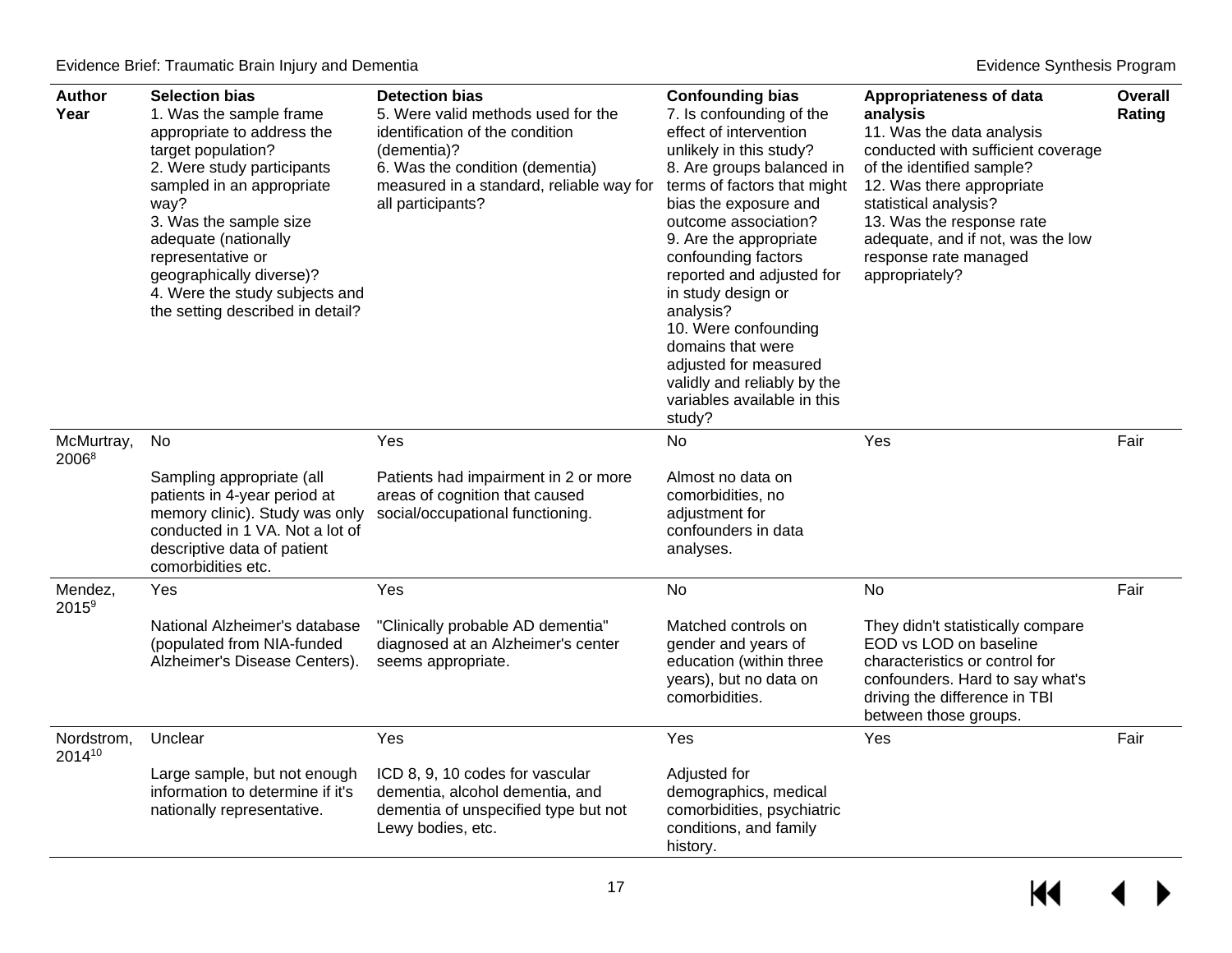| <b>Author</b><br>Year           | <b>Selection bias</b><br>1. Was the sample frame<br>appropriate to address the<br>target population?<br>2. Were study participants<br>sampled in an appropriate<br>way?<br>3. Was the sample size<br>adequate (nationally<br>representative or<br>geographically diverse)?<br>4. Were the study subjects and<br>the setting described in detail? | <b>Detection bias</b><br>5. Were valid methods used for the<br>identification of the condition<br>(dementia)?<br>6. Was the condition (dementia)<br>measured in a standard, reliable way for<br>all participants? | <b>Confounding bias</b><br>7. Is confounding of the<br>effect of intervention<br>unlikely in this study?<br>8. Are groups balanced in<br>terms of factors that might<br>bias the exposure and<br>outcome association?<br>9. Are the appropriate<br>confounding factors<br>reported and adjusted for<br>in study design or<br>analysis?<br>10. Were confounding<br>domains that were<br>adjusted for measured<br>validly and reliably by the<br>variables available in this<br>study? | Appropriateness of data<br>analysis<br>11. Was the data analysis<br>conducted with sufficient coverage<br>of the identified sample?<br>12. Was there appropriate<br>statistical analysis?<br>13. Was the response rate<br>adequate, and if not, was the low<br>response rate managed<br>appropriately? | Overall<br>Rating |
|---------------------------------|--------------------------------------------------------------------------------------------------------------------------------------------------------------------------------------------------------------------------------------------------------------------------------------------------------------------------------------------------|-------------------------------------------------------------------------------------------------------------------------------------------------------------------------------------------------------------------|--------------------------------------------------------------------------------------------------------------------------------------------------------------------------------------------------------------------------------------------------------------------------------------------------------------------------------------------------------------------------------------------------------------------------------------------------------------------------------------|--------------------------------------------------------------------------------------------------------------------------------------------------------------------------------------------------------------------------------------------------------------------------------------------------------|-------------------|
| McMurtray,<br>2006 <sup>8</sup> | No                                                                                                                                                                                                                                                                                                                                               | Yes                                                                                                                                                                                                               | No                                                                                                                                                                                                                                                                                                                                                                                                                                                                                   | Yes                                                                                                                                                                                                                                                                                                    | Fair              |
|                                 | Sampling appropriate (all<br>patients in 4-year period at<br>memory clinic). Study was only<br>conducted in 1 VA. Not a lot of<br>descriptive data of patient<br>comorbidities etc.                                                                                                                                                              | Patients had impairment in 2 or more<br>areas of cognition that caused<br>social/occupational functioning.                                                                                                        | Almost no data on<br>comorbidities, no<br>adjustment for<br>confounders in data<br>analyses.                                                                                                                                                                                                                                                                                                                                                                                         |                                                                                                                                                                                                                                                                                                        |                   |
| Mendez,<br>$2015^9$             | Yes                                                                                                                                                                                                                                                                                                                                              | Yes                                                                                                                                                                                                               | No                                                                                                                                                                                                                                                                                                                                                                                                                                                                                   | No                                                                                                                                                                                                                                                                                                     | Fair              |
|                                 | National Alzheimer's database<br>(populated from NIA-funded<br>Alzheimer's Disease Centers).                                                                                                                                                                                                                                                     | "Clinically probable AD dementia"<br>diagnosed at an Alzheimer's center<br>seems appropriate.                                                                                                                     | Matched controls on<br>gender and years of<br>education (within three<br>years), but no data on<br>comorbidities.                                                                                                                                                                                                                                                                                                                                                                    | They didn't statistically compare<br>EOD vs LOD on baseline<br>characteristics or control for<br>confounders. Hard to say what's<br>driving the difference in TBI<br>between those groups.                                                                                                             |                   |
| Nordstrom,<br>201410            | Unclear                                                                                                                                                                                                                                                                                                                                          | Yes                                                                                                                                                                                                               | Yes                                                                                                                                                                                                                                                                                                                                                                                                                                                                                  | Yes                                                                                                                                                                                                                                                                                                    | Fair              |
|                                 | Large sample, but not enough<br>information to determine if it's<br>nationally representative.                                                                                                                                                                                                                                                   | ICD 8, 9, 10 codes for vascular<br>dementia, alcohol dementia, and<br>dementia of unspecified type but not<br>Lewy bodies, etc.                                                                                   | Adjusted for<br>demographics, medical<br>comorbidities, psychiatric<br>conditions, and family<br>history.                                                                                                                                                                                                                                                                                                                                                                            |                                                                                                                                                                                                                                                                                                        |                   |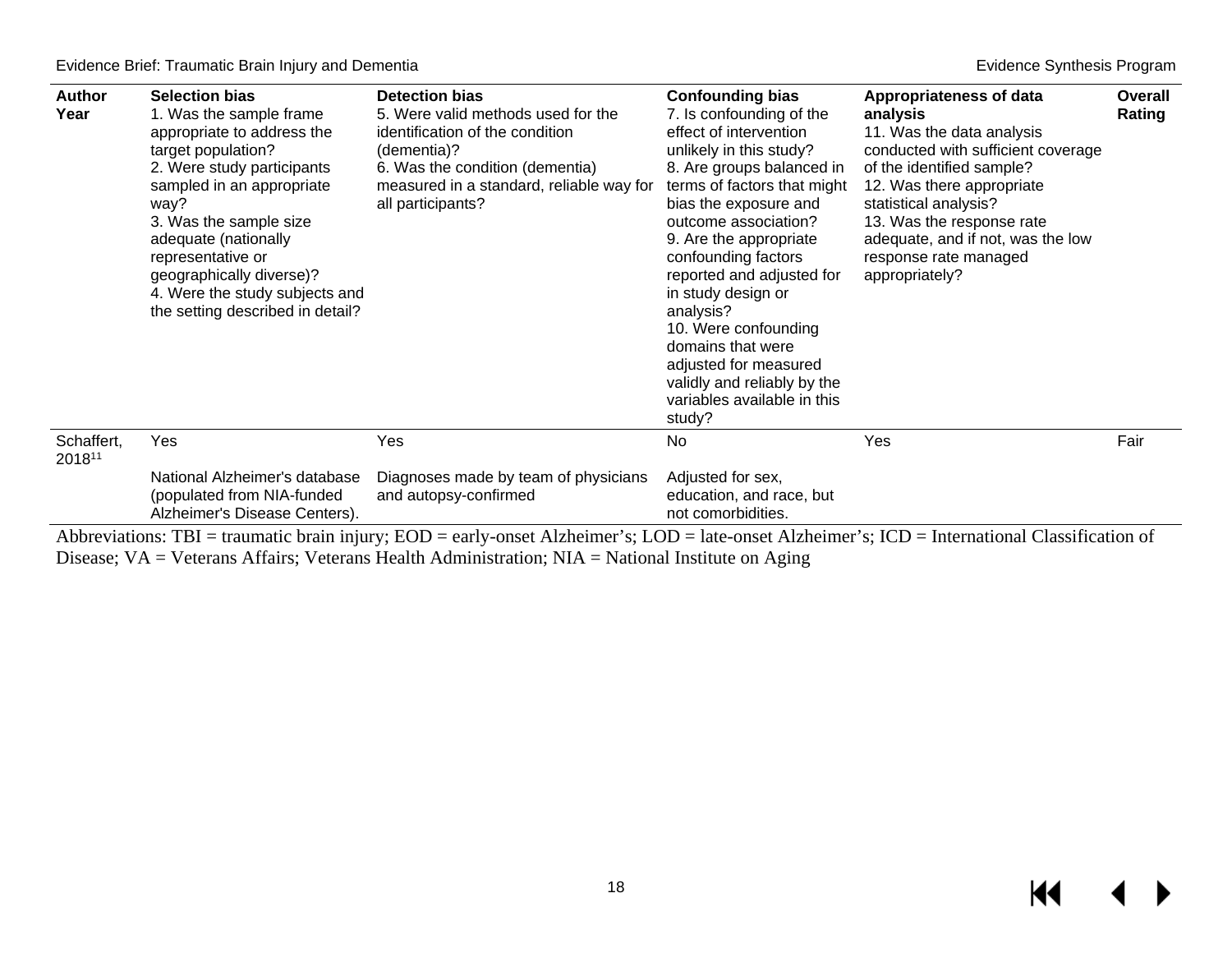| <b>Author</b><br>Year | <b>Selection bias</b><br>1. Was the sample frame<br>appropriate to address the<br>target population?<br>2. Were study participants<br>sampled in an appropriate<br>way?<br>3. Was the sample size<br>adequate (nationally<br>representative or<br>geographically diverse)?<br>4. Were the study subjects and<br>the setting described in detail? | <b>Detection bias</b><br>5. Were valid methods used for the<br>identification of the condition<br>(dementia)?<br>6. Was the condition (dementia)<br>measured in a standard, reliable way for<br>all participants? | <b>Confounding bias</b><br>7. Is confounding of the<br>effect of intervention<br>unlikely in this study?<br>8. Are groups balanced in<br>terms of factors that might<br>bias the exposure and<br>outcome association?<br>9. Are the appropriate<br>confounding factors<br>reported and adjusted for<br>in study design or<br>analysis?<br>10. Were confounding<br>domains that were<br>adjusted for measured<br>validly and reliably by the<br>variables available in this<br>study? | Appropriateness of data<br>analysis<br>11. Was the data analysis<br>conducted with sufficient coverage<br>of the identified sample?<br>12. Was there appropriate<br>statistical analysis?<br>13. Was the response rate<br>adequate, and if not, was the low<br>response rate managed<br>appropriately? | Overall<br>Rating |
|-----------------------|--------------------------------------------------------------------------------------------------------------------------------------------------------------------------------------------------------------------------------------------------------------------------------------------------------------------------------------------------|-------------------------------------------------------------------------------------------------------------------------------------------------------------------------------------------------------------------|--------------------------------------------------------------------------------------------------------------------------------------------------------------------------------------------------------------------------------------------------------------------------------------------------------------------------------------------------------------------------------------------------------------------------------------------------------------------------------------|--------------------------------------------------------------------------------------------------------------------------------------------------------------------------------------------------------------------------------------------------------------------------------------------------------|-------------------|
| Schaffert,<br>201811  | Yes                                                                                                                                                                                                                                                                                                                                              | Yes                                                                                                                                                                                                               | No                                                                                                                                                                                                                                                                                                                                                                                                                                                                                   | Yes                                                                                                                                                                                                                                                                                                    | Fair              |
|                       | National Alzheimer's database<br>(populated from NIA-funded<br>Alzheimer's Disease Centers).                                                                                                                                                                                                                                                     | Diagnoses made by team of physicians<br>and autopsy-confirmed                                                                                                                                                     | Adjusted for sex,<br>education, and race, but<br>not comorbidities.                                                                                                                                                                                                                                                                                                                                                                                                                  |                                                                                                                                                                                                                                                                                                        |                   |

<span id="page-19-0"></span>Abbreviations: TBI = traumatic brain injury; EOD = early-onset Alzheimer's; LOD = late-onset Alzheimer's; ICD = International Classification of Disease; VA = Veterans Affairs; Veterans Health Administration; NIA = National Institute on Aging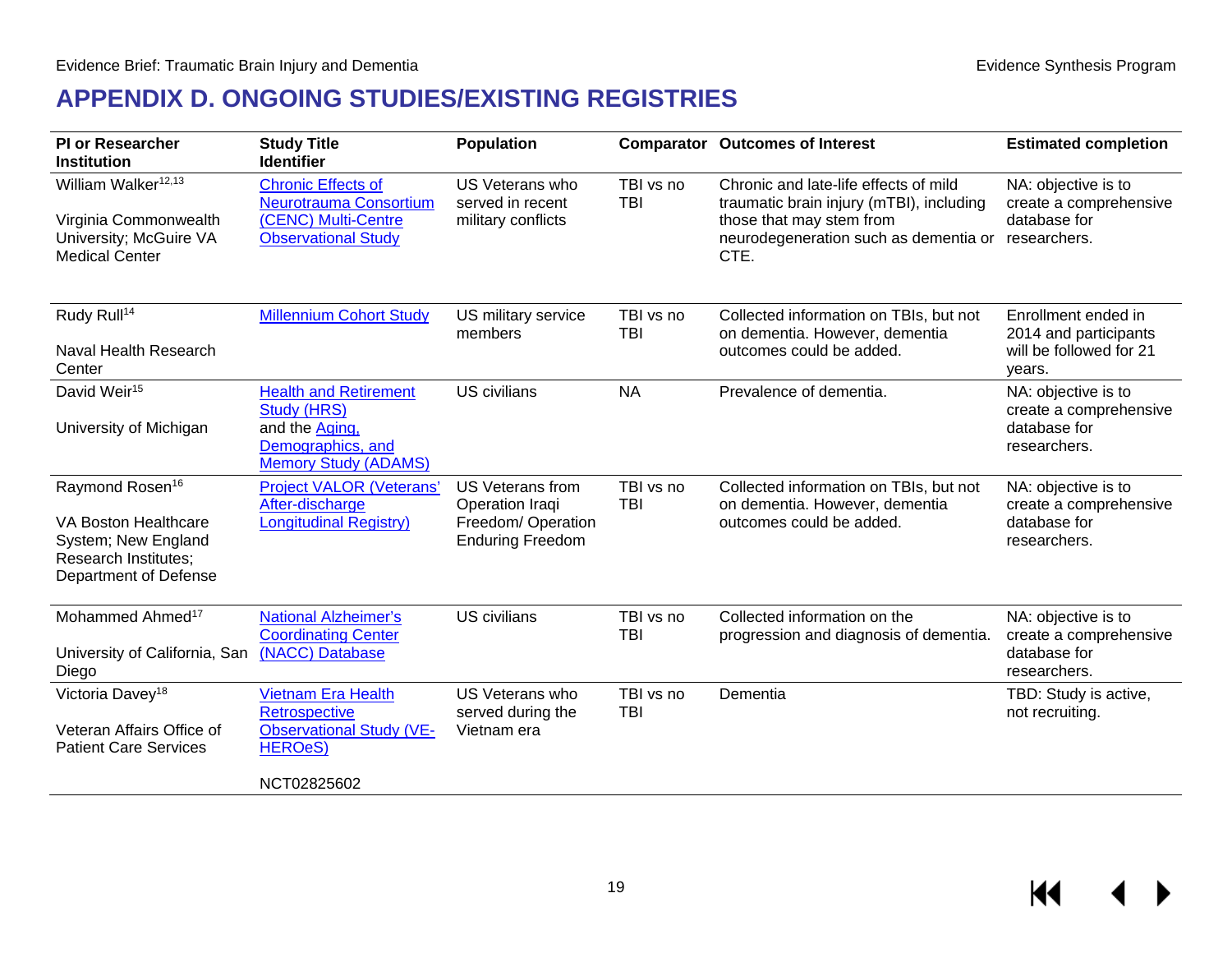## **APPENDIX D. ONGOING STUDIES/EXISTING REGISTRIES**

<span id="page-20-0"></span>

| <b>PI or Researcher</b><br><b>Institution</b>                                                                                      | <b>Study Title</b><br><b>Identifier</b>                                                                                  | <b>Population</b>                                                                           |                         | <b>Comparator Outcomes of Interest</b>                                                                                                                         | <b>Estimated completion</b>                                                       |
|------------------------------------------------------------------------------------------------------------------------------------|--------------------------------------------------------------------------------------------------------------------------|---------------------------------------------------------------------------------------------|-------------------------|----------------------------------------------------------------------------------------------------------------------------------------------------------------|-----------------------------------------------------------------------------------|
| William Walker <sup>12,13</sup><br>Virginia Commonwealth<br>University; McGuire VA<br><b>Medical Center</b>                        | <b>Chronic Effects of</b><br>Neurotrauma Consortium<br>(CENC) Multi-Centre<br><b>Observational Study</b>                 | US Veterans who<br>served in recent<br>military conflicts                                   | TBI vs no<br><b>TBI</b> | Chronic and late-life effects of mild<br>traumatic brain injury (mTBI), including<br>those that may stem from<br>neurodegeneration such as dementia or<br>CTE. | NA: objective is to<br>create a comprehensive<br>database for<br>researchers.     |
| Rudy Rull <sup>14</sup><br>Naval Health Research<br>Center                                                                         | <b>Millennium Cohort Study</b>                                                                                           | US military service<br>members                                                              | TBI vs no<br><b>TBI</b> | Collected information on TBIs, but not<br>on dementia. However, dementia<br>outcomes could be added.                                                           | Enrollment ended in<br>2014 and participants<br>will be followed for 21<br>years. |
| David Weir <sup>15</sup><br>University of Michigan                                                                                 | <b>Health and Retirement</b><br><b>Study (HRS)</b><br>and the Aging,<br>Demographics, and<br><b>Memory Study (ADAMS)</b> | <b>US</b> civilians                                                                         | <b>NA</b>               | Prevalence of dementia.                                                                                                                                        | NA: objective is to<br>create a comprehensive<br>database for<br>researchers.     |
| Raymond Rosen <sup>16</sup><br>VA Boston Healthcare<br>System; New England<br><b>Research Institutes;</b><br>Department of Defense | <b>Project VALOR (Veterans'</b><br>After-discharge<br><b>Longitudinal Registry)</b>                                      | <b>US Veterans from</b><br>Operation Iraqi<br>Freedom/ Operation<br><b>Enduring Freedom</b> | TBI vs no<br><b>TBI</b> | Collected information on TBIs, but not<br>on dementia. However, dementia<br>outcomes could be added.                                                           | NA: objective is to<br>create a comprehensive<br>database for<br>researchers.     |
| Mohammed Ahmed <sup>17</sup><br>University of California, San<br>Diego                                                             | <b>National Alzheimer's</b><br><b>Coordinating Center</b><br>(NACC) Database                                             | <b>US civilians</b>                                                                         | TBI vs no<br>TBI        | Collected information on the<br>progression and diagnosis of dementia.                                                                                         | NA: objective is to<br>create a comprehensive<br>database for<br>researchers.     |
| Victoria Davey <sup>18</sup><br>Veteran Affairs Office of<br><b>Patient Care Services</b>                                          | <b>Vietnam Era Health</b><br>Retrospective<br><b>Observational Study (VE-</b><br><b>HEROeS)</b><br>NCT02825602           | US Veterans who<br>served during the<br>Vietnam era                                         | TBI vs no<br><b>TBI</b> | Dementia                                                                                                                                                       | TBD: Study is active,<br>not recruiting.                                          |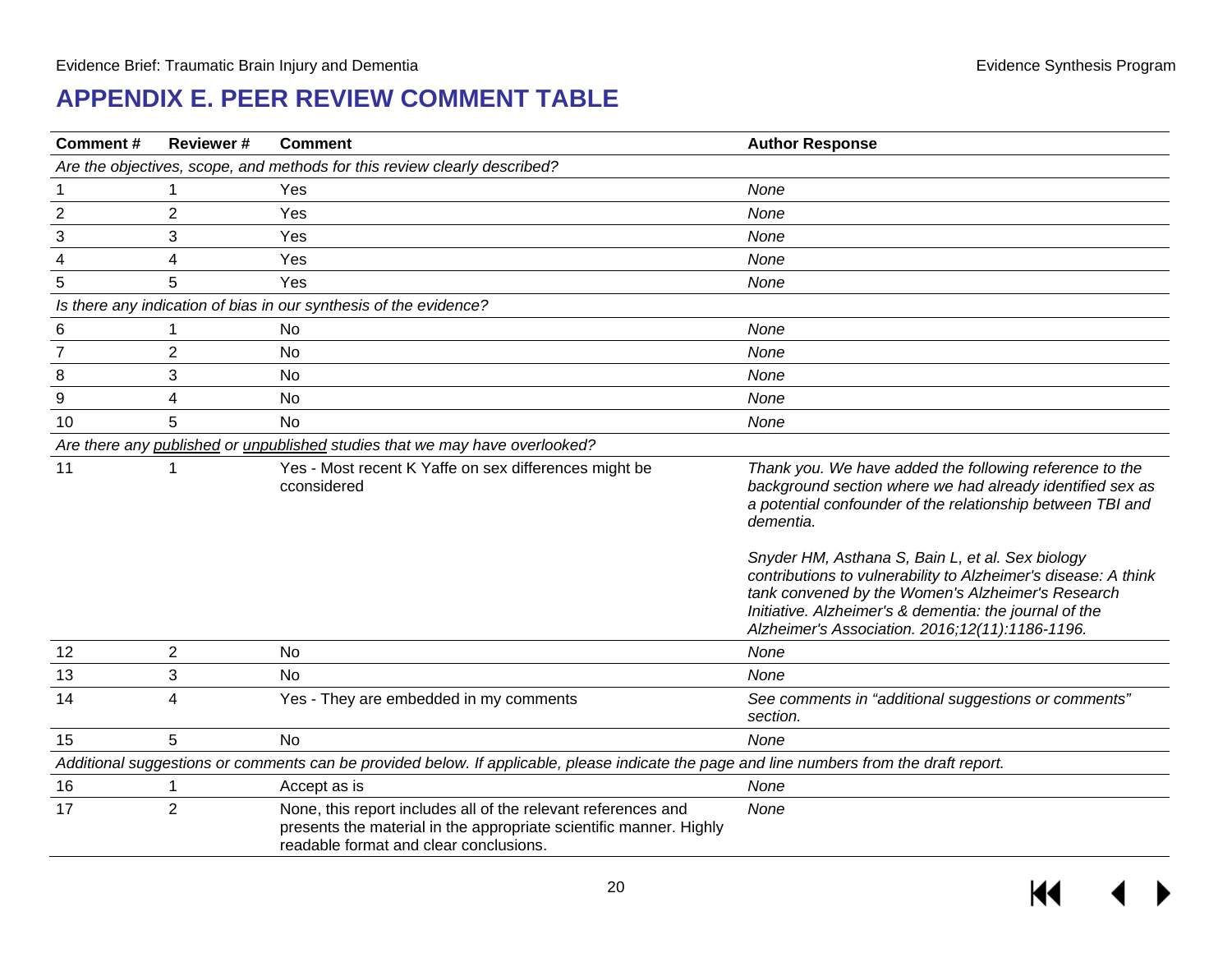## **APPENDIX E. PEER REVIEW COMMENT TABLE**

| <b>Comment#</b>                                                           | Reviewer#      | <b>Comment</b>                                                                                                                                                                | <b>Author Response</b>                                                                                                                                                                                                                                                                 |  |  |  |  |  |
|---------------------------------------------------------------------------|----------------|-------------------------------------------------------------------------------------------------------------------------------------------------------------------------------|----------------------------------------------------------------------------------------------------------------------------------------------------------------------------------------------------------------------------------------------------------------------------------------|--|--|--|--|--|
| Are the objectives, scope, and methods for this review clearly described? |                |                                                                                                                                                                               |                                                                                                                                                                                                                                                                                        |  |  |  |  |  |
|                                                                           | 1              | Yes                                                                                                                                                                           | None                                                                                                                                                                                                                                                                                   |  |  |  |  |  |
| $\boldsymbol{2}$                                                          | $\overline{2}$ | Yes                                                                                                                                                                           | None                                                                                                                                                                                                                                                                                   |  |  |  |  |  |
| 3                                                                         | 3              | Yes                                                                                                                                                                           | None                                                                                                                                                                                                                                                                                   |  |  |  |  |  |
| 4                                                                         | 4              | Yes                                                                                                                                                                           | None                                                                                                                                                                                                                                                                                   |  |  |  |  |  |
| 5                                                                         | 5              | Yes                                                                                                                                                                           | None                                                                                                                                                                                                                                                                                   |  |  |  |  |  |
|                                                                           |                | Is there any indication of bias in our synthesis of the evidence?                                                                                                             |                                                                                                                                                                                                                                                                                        |  |  |  |  |  |
| 6                                                                         | 1              | No                                                                                                                                                                            | None                                                                                                                                                                                                                                                                                   |  |  |  |  |  |
| $\overline{7}$                                                            | $\overline{2}$ | <b>No</b>                                                                                                                                                                     | None                                                                                                                                                                                                                                                                                   |  |  |  |  |  |
| 8                                                                         | 3              | No                                                                                                                                                                            | None                                                                                                                                                                                                                                                                                   |  |  |  |  |  |
| 9                                                                         | 4              | No                                                                                                                                                                            | None                                                                                                                                                                                                                                                                                   |  |  |  |  |  |
| 10                                                                        | 5              | <b>No</b>                                                                                                                                                                     | None                                                                                                                                                                                                                                                                                   |  |  |  |  |  |
|                                                                           |                | Are there any published or unpublished studies that we may have overlooked?                                                                                                   |                                                                                                                                                                                                                                                                                        |  |  |  |  |  |
| 11                                                                        | 1              | Yes - Most recent K Yaffe on sex differences might be<br>cconsidered                                                                                                          | Thank you. We have added the following reference to the<br>background section where we had already identified sex as<br>a potential confounder of the relationship between TBI and<br>dementia.                                                                                        |  |  |  |  |  |
|                                                                           |                |                                                                                                                                                                               | Snyder HM, Asthana S, Bain L, et al. Sex biology<br>contributions to vulnerability to Alzheimer's disease: A think<br>tank convened by the Women's Alzheimer's Research<br>Initiative. Alzheimer's & dementia: the journal of the<br>Alzheimer's Association. 2016; 12(11): 1186-1196. |  |  |  |  |  |
| 12                                                                        | $\overline{2}$ | <b>No</b>                                                                                                                                                                     | None                                                                                                                                                                                                                                                                                   |  |  |  |  |  |
| 13                                                                        | 3              | <b>No</b>                                                                                                                                                                     | None                                                                                                                                                                                                                                                                                   |  |  |  |  |  |
| 14                                                                        | 4              | Yes - They are embedded in my comments                                                                                                                                        | See comments in "additional suggestions or comments"<br>section.                                                                                                                                                                                                                       |  |  |  |  |  |
| 15                                                                        | 5              | <b>No</b>                                                                                                                                                                     | None                                                                                                                                                                                                                                                                                   |  |  |  |  |  |
|                                                                           |                | Additional suggestions or comments can be provided below. If applicable, please indicate the page and line numbers from the draft report.                                     |                                                                                                                                                                                                                                                                                        |  |  |  |  |  |
| 16                                                                        |                | Accept as is                                                                                                                                                                  | None                                                                                                                                                                                                                                                                                   |  |  |  |  |  |
| 17                                                                        | $\overline{2}$ | None, this report includes all of the relevant references and<br>presents the material in the appropriate scientific manner. Highly<br>readable format and clear conclusions. | None                                                                                                                                                                                                                                                                                   |  |  |  |  |  |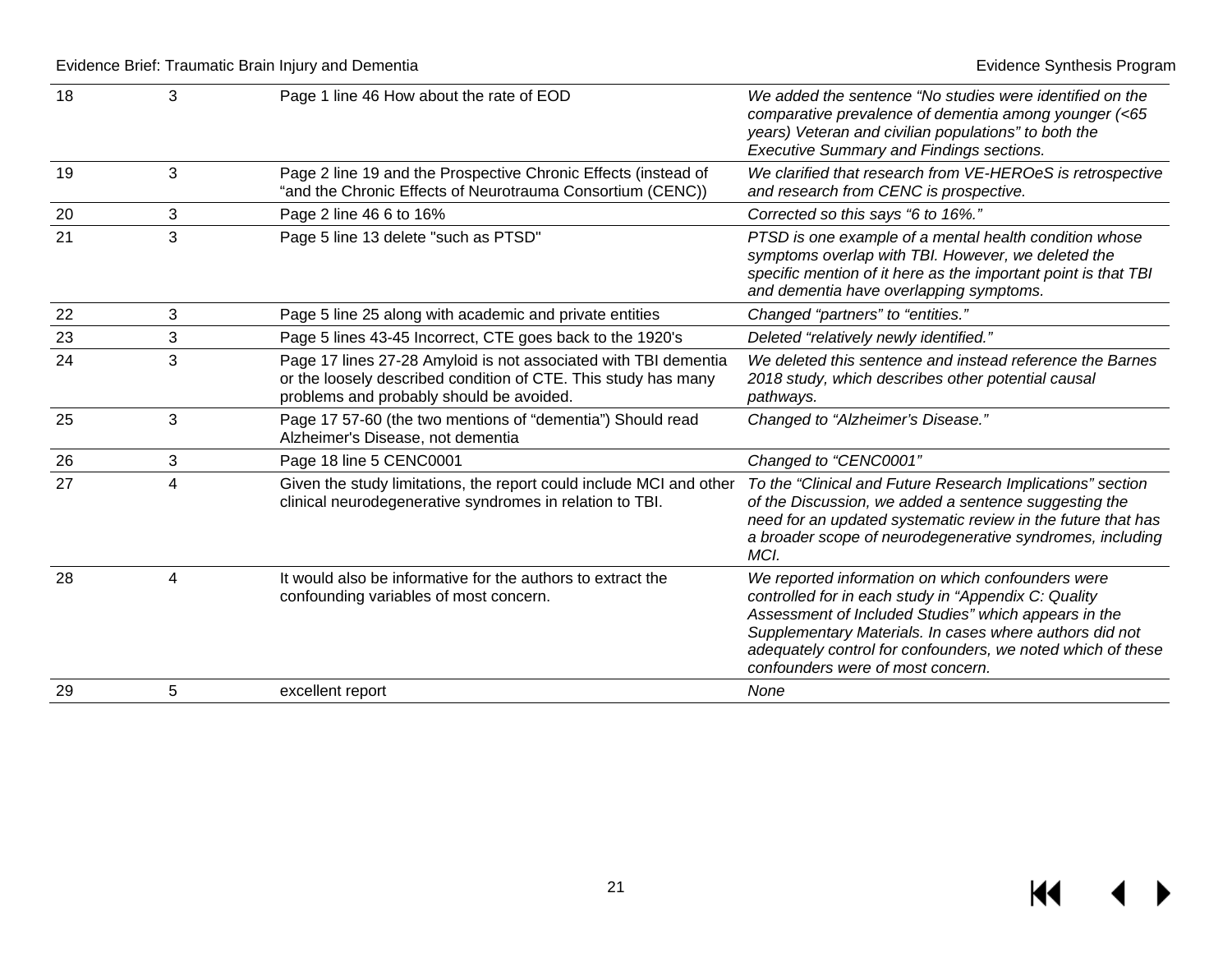| 18 | 3                       | Page 1 line 46 How about the rate of EOD                                                                                                                                      | We added the sentence "No studies were identified on the<br>comparative prevalence of dementia among younger (<65<br>years) Veteran and civilian populations" to both the<br><b>Executive Summary and Findings sections.</b>                                                                                                     |
|----|-------------------------|-------------------------------------------------------------------------------------------------------------------------------------------------------------------------------|----------------------------------------------------------------------------------------------------------------------------------------------------------------------------------------------------------------------------------------------------------------------------------------------------------------------------------|
| 19 | 3                       | Page 2 line 19 and the Prospective Chronic Effects (instead of<br>"and the Chronic Effects of Neurotrauma Consortium (CENC))                                                  | We clarified that research from VE-HEROeS is retrospective<br>and research from CENC is prospective.                                                                                                                                                                                                                             |
| 20 | 3                       | Page 2 line 46 6 to 16%                                                                                                                                                       | Corrected so this says "6 to 16%."                                                                                                                                                                                                                                                                                               |
| 21 | 3                       | Page 5 line 13 delete "such as PTSD"                                                                                                                                          | PTSD is one example of a mental health condition whose<br>symptoms overlap with TBI. However, we deleted the<br>specific mention of it here as the important point is that TBI<br>and dementia have overlapping symptoms.                                                                                                        |
| 22 | 3                       | Page 5 line 25 along with academic and private entities                                                                                                                       | Changed "partners" to "entities."                                                                                                                                                                                                                                                                                                |
| 23 | 3                       | Page 5 lines 43-45 Incorrect, CTE goes back to the 1920's                                                                                                                     | Deleted "relatively newly identified."                                                                                                                                                                                                                                                                                           |
| 24 | 3                       | Page 17 lines 27-28 Amyloid is not associated with TBI dementia<br>or the loosely described condition of CTE. This study has many<br>problems and probably should be avoided. | We deleted this sentence and instead reference the Barnes<br>2018 study, which describes other potential causal<br>pathways.                                                                                                                                                                                                     |
| 25 | 3                       | Page 17 57-60 (the two mentions of "dementia") Should read<br>Alzheimer's Disease, not dementia                                                                               | Changed to "Alzheimer's Disease."                                                                                                                                                                                                                                                                                                |
| 26 | 3                       | Page 18 line 5 CENC0001                                                                                                                                                       | Changed to "CENC0001"                                                                                                                                                                                                                                                                                                            |
| 27 | $\overline{\mathbf{4}}$ | Given the study limitations, the report could include MCI and other<br>clinical neurodegenerative syndromes in relation to TBI.                                               | To the "Clinical and Future Research Implications" section<br>of the Discussion, we added a sentence suggesting the<br>need for an updated systematic review in the future that has<br>a broader scope of neurodegenerative syndromes, including<br>MCI.                                                                         |
| 28 | $\overline{4}$          | It would also be informative for the authors to extract the<br>confounding variables of most concern.                                                                         | We reported information on which confounders were<br>controlled for in each study in "Appendix C: Quality<br>Assessment of Included Studies" which appears in the<br>Supplementary Materials. In cases where authors did not<br>adequately control for confounders, we noted which of these<br>confounders were of most concern. |
| 29 | 5                       | excellent report                                                                                                                                                              | None                                                                                                                                                                                                                                                                                                                             |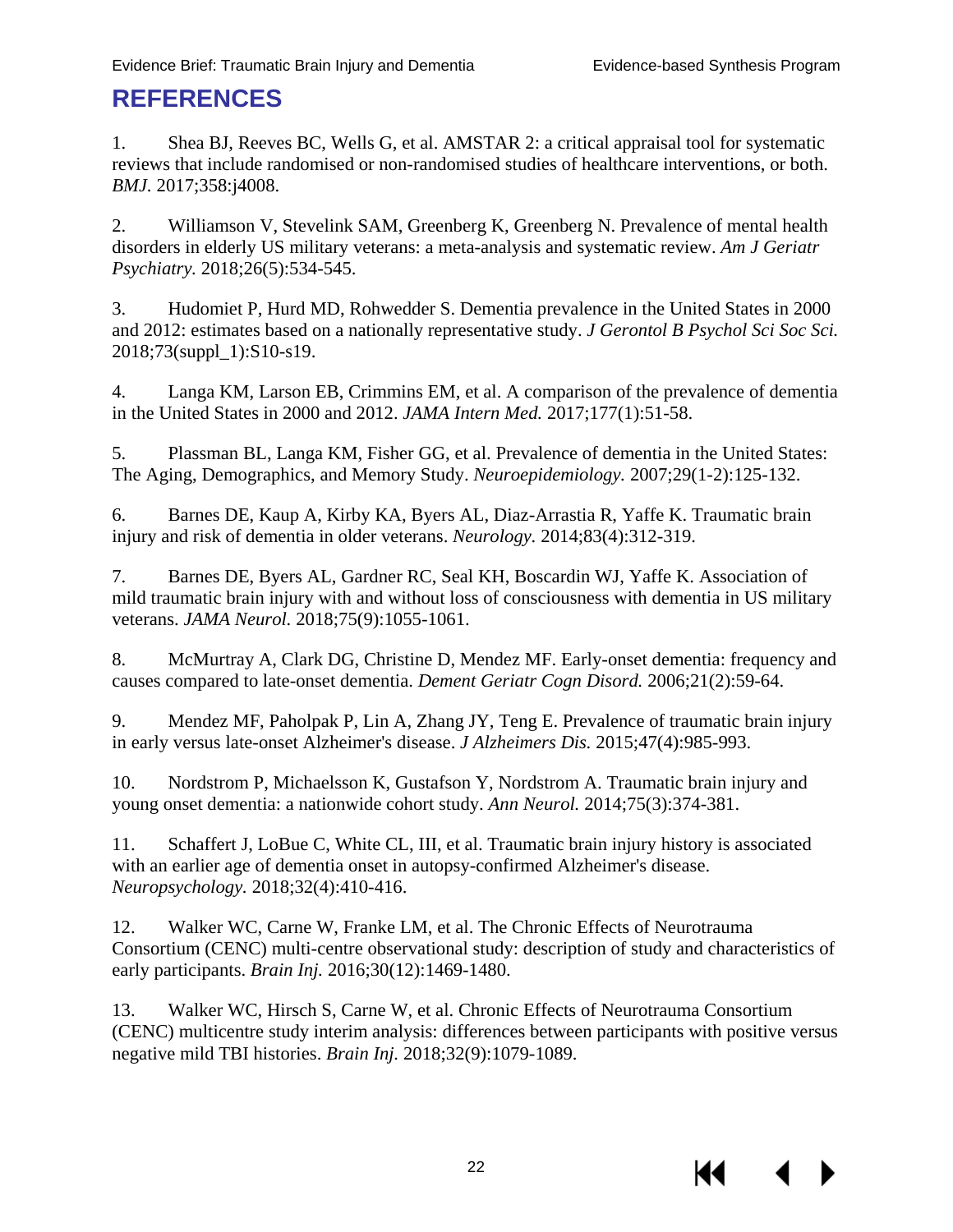### <span id="page-23-0"></span>**REFERENCES**

1. Shea BJ, Reeves BC, Wells G, et al. AMSTAR 2: a critical appraisal tool for systematic reviews that include randomised or non-randomised studies of healthcare interventions, or both. *BMJ.* 2017;358:j4008.

2. Williamson V, Stevelink SAM, Greenberg K, Greenberg N. Prevalence of mental health disorders in elderly US military veterans: a meta-analysis and systematic review. *Am J Geriatr Psychiatry.* 2018;26(5):534-545.

3. Hudomiet P, Hurd MD, Rohwedder S. Dementia prevalence in the United States in 2000 and 2012: estimates based on a nationally representative study. *J Gerontol B Psychol Sci Soc Sci.*  2018;73(suppl\_1):S10-s19.

4. Langa KM, Larson EB, Crimmins EM, et al. A comparison of the prevalence of dementia in the United States in 2000 and 2012. *JAMA Intern Med.* 2017;177(1):51-58.

5. Plassman BL, Langa KM, Fisher GG, et al. Prevalence of dementia in the United States: The Aging, Demographics, and Memory Study. *Neuroepidemiology.* 2007;29(1-2):125-132.

6. Barnes DE, Kaup A, Kirby KA, Byers AL, Diaz-Arrastia R, Yaffe K. Traumatic brain injury and risk of dementia in older veterans. *Neurology.* 2014;83(4):312-319.

7. Barnes DE, Byers AL, Gardner RC, Seal KH, Boscardin WJ, Yaffe K. Association of mild traumatic brain injury with and without loss of consciousness with dementia in US military veterans. *JAMA Neurol.* 2018;75(9):1055-1061.

<span id="page-23-1"></span>8. McMurtray A, Clark DG, Christine D, Mendez MF. Early-onset dementia: frequency and causes compared to late-onset dementia. *Dement Geriatr Cogn Disord.* 2006;21(2):59-64.

<span id="page-23-2"></span>9. Mendez MF, Paholpak P, Lin A, Zhang JY, Teng E. Prevalence of traumatic brain injury in early versus late-onset Alzheimer's disease. *J Alzheimers Dis.* 2015;47(4):985-993.

10. Nordstrom P, Michaelsson K, Gustafson Y, Nordstrom A. Traumatic brain injury and young onset dementia: a nationwide cohort study. *Ann Neurol.* 2014;75(3):374-381.

11. Schaffert J, LoBue C, White CL, III, et al. Traumatic brain injury history is associated with an earlier age of dementia onset in autopsy-confirmed Alzheimer's disease. *Neuropsychology.* 2018;32(4):410-416.

12. Walker WC, Carne W, Franke LM, et al. The Chronic Effects of Neurotrauma Consortium (CENC) multi-centre observational study: description of study and characteristics of early participants. *Brain Inj.* 2016;30(12):1469-1480.

13. Walker WC, Hirsch S, Carne W, et al. Chronic Effects of Neurotrauma Consortium (CENC) multicentre study interim analysis: differences between participants with positive versus negative mild TBI histories. *Brain Inj.* 2018;32(9):1079-1089.